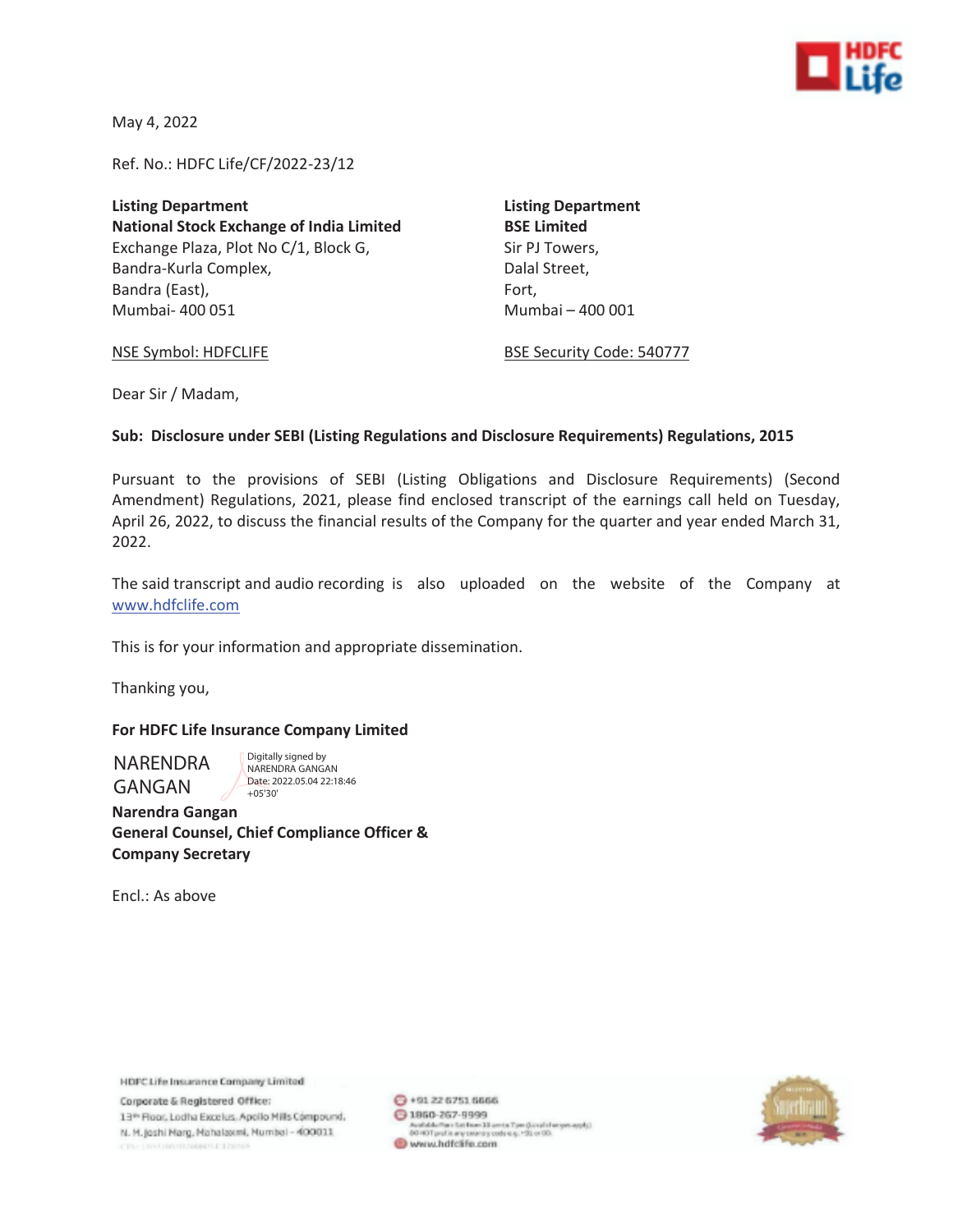

May 4, 2022

Ref. No.: HDFC Life/CF/2022-23/12

**Listing Department Listing Department National Stock Exchange of India Limited BSE Limited**  Exchange Plaza, Plot No C/1, Block G, Sir PJ Towers, Bandra-Kurla Complex, and the complexed of the Dalal Street, Bandra (East), Fort, Fort, Fort, Fort, Fort, Fort, Fort, Fort, Fort, Fort, Fort, Fort, Fort, Fort, Fort, Fort,  $F$ Mumbai- 400 051 Mumbai – 400 001

NSE Symbol: HDFCLIFE BSE Security Code: 540777

Dear Sir / Madam,

#### **Sub: Disclosure under SEBI (Listing Regulations and Disclosure Requirements) Regulations, 2015**

Pursuant to the provisions of SEBI (Listing Obligations and Disclosure Requirements) (Second Amendment) Regulations, 2021, please find enclosed transcript of the earnings call held on Tuesday, April 26, 2022, to discuss the financial results of the Company for the quarter and year ended March 31, 2022.

The said transcript and audio recording is also uploaded on the website of the Company at www.hdfclife.com

This is for your information and appropriate dissemination.

Thanking you,

#### **For HDFC Life Insurance Company Limited**

NARENDRA GANGAN

Digitally signed by NARENDRA GANGAN Date: 2022.05.04 22:18:46  $+05'30'$ 

**Narendra Gangan General Counsel, Chief Compliance Officer & Company Secretary** 

Encl.: As above

HDFC Life Insurance Company Limited

Corporate & Registered Office: 13th Floor, Lodha Excelus, Apollo Mills Compound. N. M. Joshi Marg, Mahalaxmi, Mumbal - 400011 IN THINTITIONISTLE 1250AN

 $Q$  + 91 22 6751 6666 → 1960-267-9999 Available/fami Satifisam 30 amins 7 pm (Gonalisher yes apply).<br>DO HOT profile any security code e.g. +50 or 00. www.hdfclife.com

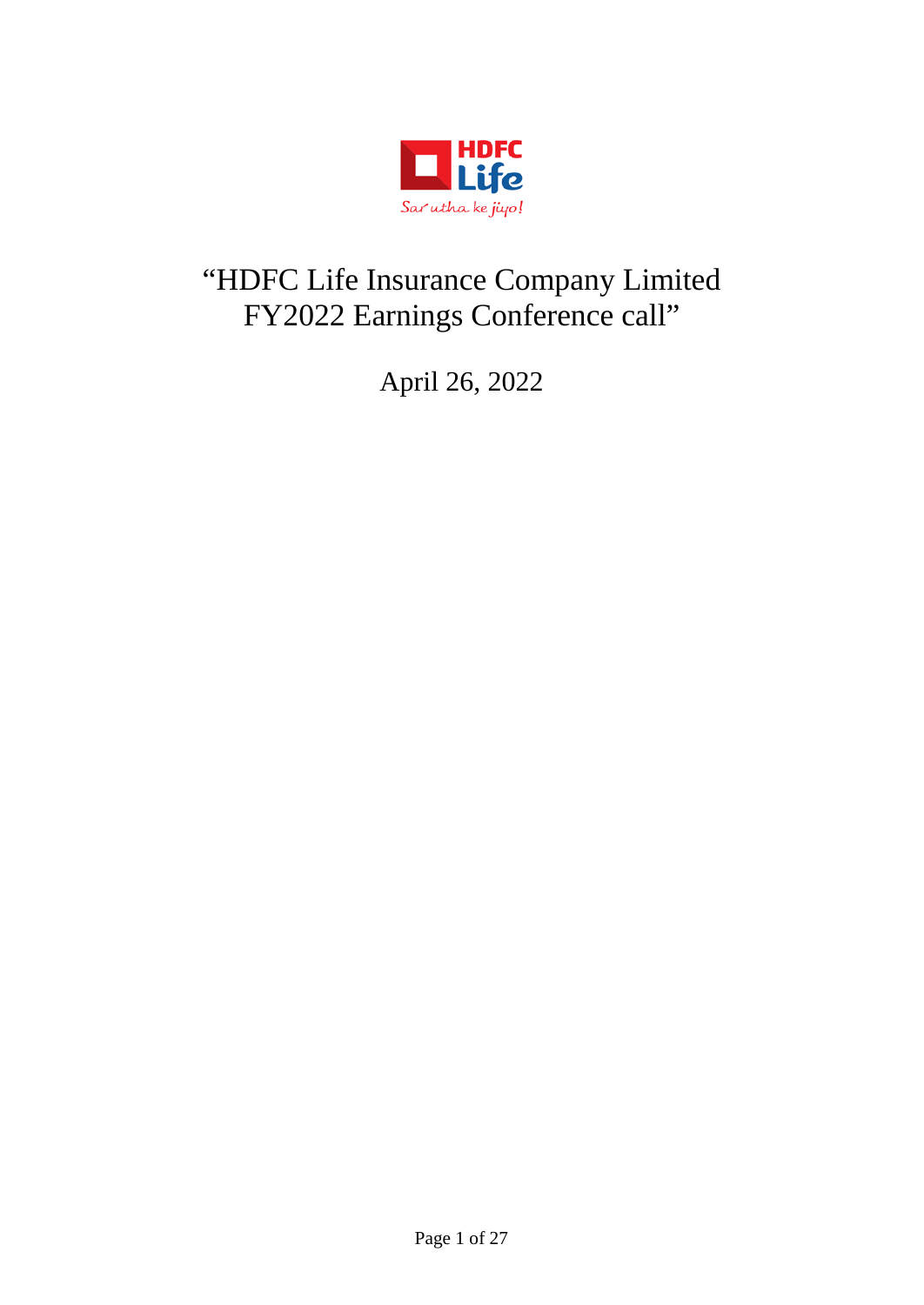

# "HDFC Life Insurance Company Limited FY2022 Earnings Conference call"

April 26, 2022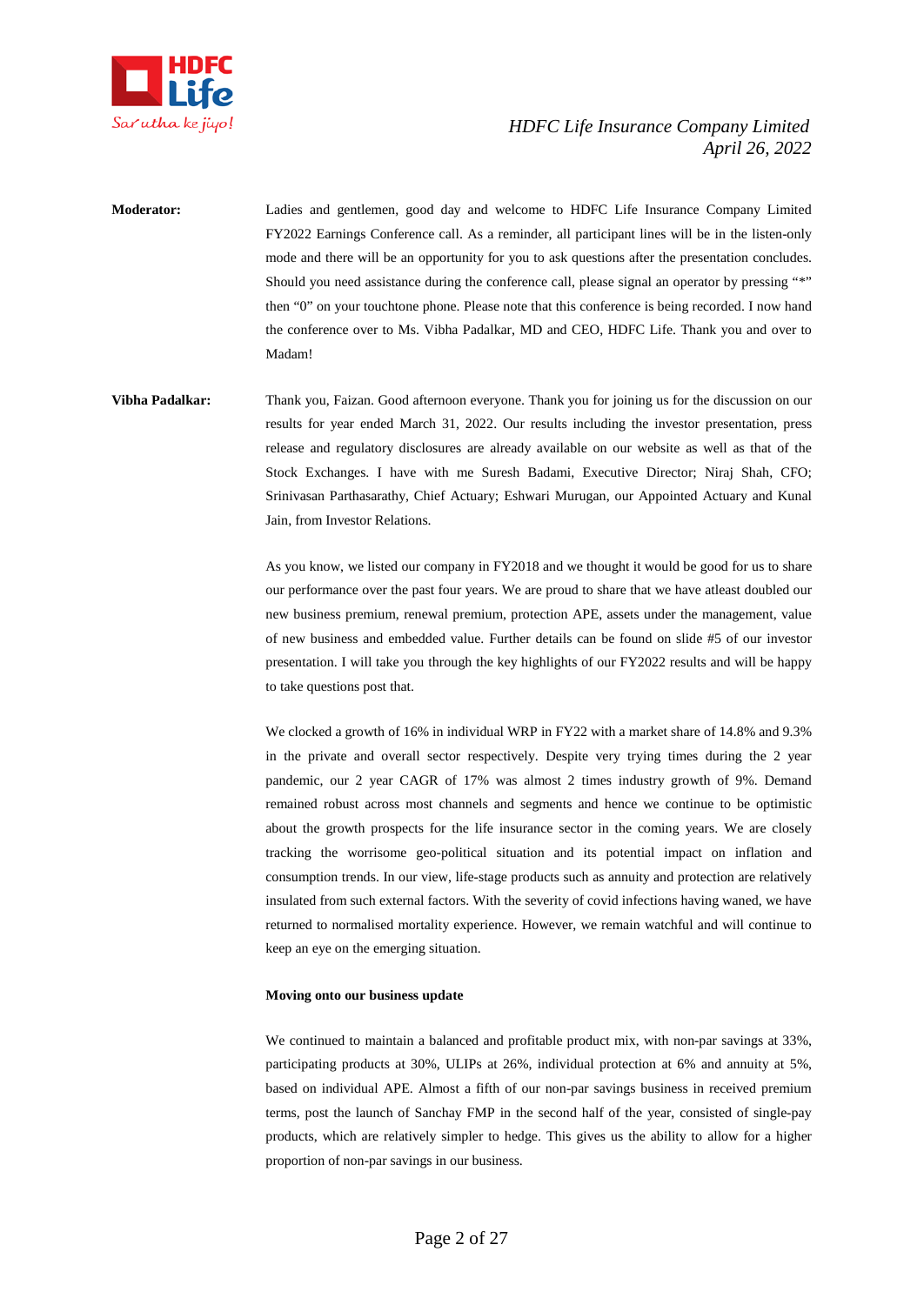

**Moderator:** Ladies and gentlemen, good day and welcome to HDFC Life Insurance Company Limited FY2022 Earnings Conference call. As a reminder, all participant lines will be in the listen-only mode and there will be an opportunity for you to ask questions after the presentation concludes. Should you need assistance during the conference call, please signal an operator by pressing "\*" then "0" on your touchtone phone. Please note that this conference is being recorded. I now hand the conference over to Ms. Vibha Padalkar, MD and CEO, HDFC Life. Thank you and over to Madam!

**Vibha Padalkar:** Thank you, Faizan. Good afternoon everyone. Thank you for joining us for the discussion on our results for year ended March 31, 2022. Our results including the investor presentation, press release and regulatory disclosures are already available on our website as well as that of the Stock Exchanges. I have with me Suresh Badami, Executive Director; Niraj Shah, CFO; Srinivasan Parthasarathy, Chief Actuary; Eshwari Murugan, our Appointed Actuary and Kunal Jain, from Investor Relations.

> As you know, we listed our company in FY2018 and we thought it would be good for us to share our performance over the past four years. We are proud to share that we have atleast doubled our new business premium, renewal premium, protection APE, assets under the management, value of new business and embedded value. Further details can be found on slide #5 of our investor presentation. I will take you through the key highlights of our FY2022 results and will be happy to take questions post that.

> We clocked a growth of 16% in individual WRP in FY22 with a market share of 14.8% and 9.3% in the private and overall sector respectively. Despite very trying times during the 2 year pandemic, our 2 year CAGR of 17% was almost 2 times industry growth of 9%. Demand remained robust across most channels and segments and hence we continue to be optimistic about the growth prospects for the life insurance sector in the coming years. We are closely tracking the worrisome geo-political situation and its potential impact on inflation and consumption trends. In our view, life-stage products such as annuity and protection are relatively insulated from such external factors. With the severity of covid infections having waned, we have returned to normalised mortality experience. However, we remain watchful and will continue to keep an eye on the emerging situation.

#### **Moving onto our business update**

We continued to maintain a balanced and profitable product mix, with non-par savings at 33%, participating products at 30%, ULIPs at 26%, individual protection at 6% and annuity at 5%, based on individual APE. Almost a fifth of our non-par savings business in received premium terms, post the launch of Sanchay FMP in the second half of the year, consisted of single-pay products, which are relatively simpler to hedge. This gives us the ability to allow for a higher proportion of non-par savings in our business.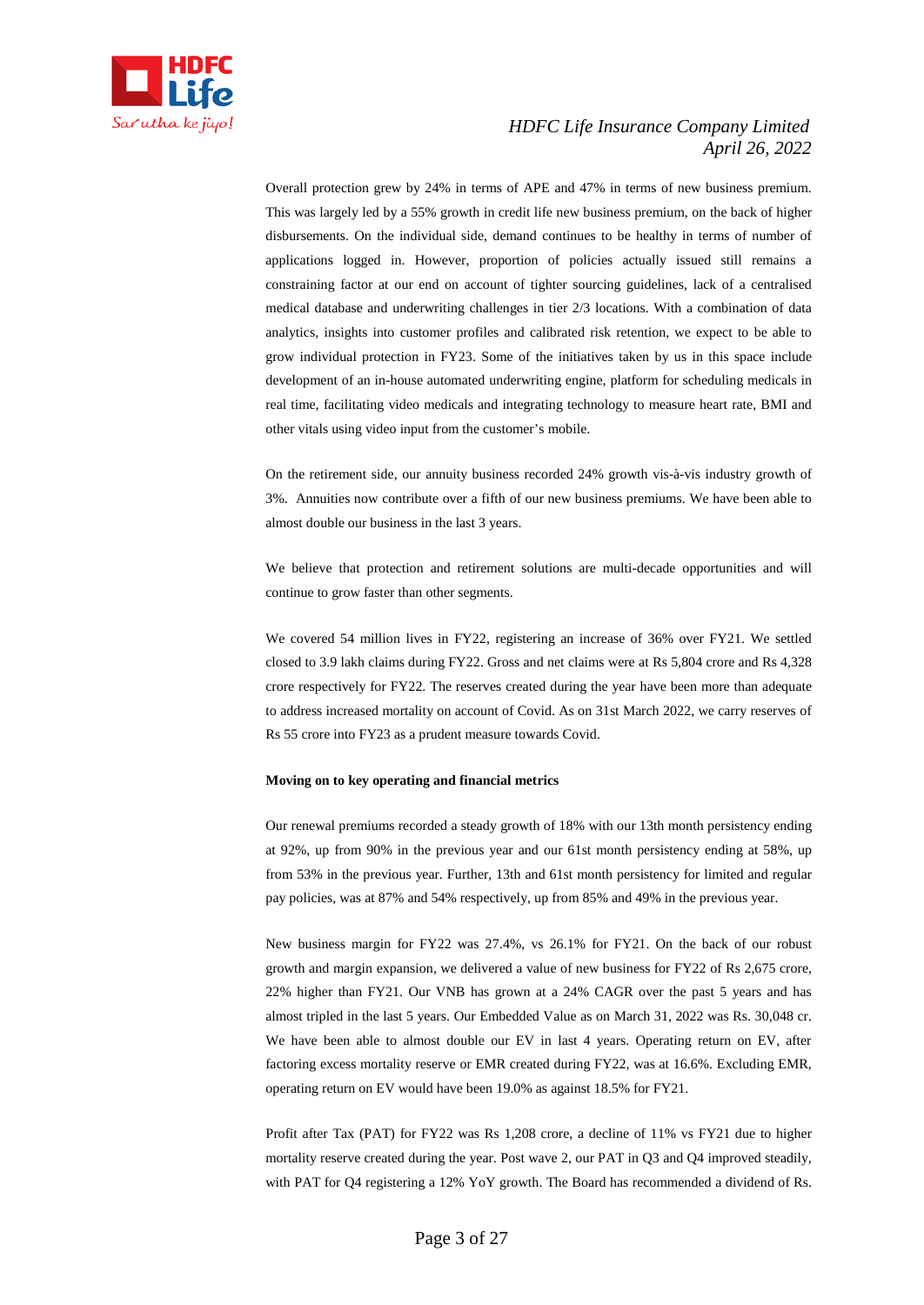

Overall protection grew by 24% in terms of APE and 47% in terms of new business premium. This was largely led by a 55% growth in credit life new business premium, on the back of higher disbursements. On the individual side, demand continues to be healthy in terms of number of applications logged in. However, proportion of policies actually issued still remains a constraining factor at our end on account of tighter sourcing guidelines, lack of a centralised medical database and underwriting challenges in tier 2/3 locations. With a combination of data analytics, insights into customer profiles and calibrated risk retention, we expect to be able to grow individual protection in FY23. Some of the initiatives taken by us in this space include development of an in-house automated underwriting engine, platform for scheduling medicals in real time, facilitating video medicals and integrating technology to measure heart rate, BMI and other vitals using video input from the customer's mobile.

On the retirement side, our annuity business recorded 24% growth vis-à-vis industry growth of 3%. Annuities now contribute over a fifth of our new business premiums. We have been able to almost double our business in the last 3 years.

We believe that protection and retirement solutions are multi-decade opportunities and will continue to grow faster than other segments.

We covered 54 million lives in FY22, registering an increase of 36% over FY21. We settled closed to 3.9 lakh claims during FY22. Gross and net claims were at Rs 5,804 crore and Rs 4,328 crore respectively for FY22. The reserves created during the year have been more than adequate to address increased mortality on account of Covid. As on 31st March 2022, we carry reserves of Rs 55 crore into FY23 as a prudent measure towards Covid.

#### **Moving on to key operating and financial metrics**

Our renewal premiums recorded a steady growth of 18% with our 13th month persistency ending at 92%, up from 90% in the previous year and our 61st month persistency ending at 58%, up from 53% in the previous year. Further, 13th and 61st month persistency for limited and regular pay policies, was at 87% and 54% respectively, up from 85% and 49% in the previous year.

New business margin for FY22 was 27.4%, vs 26.1% for FY21. On the back of our robust growth and margin expansion, we delivered a value of new business for FY22 of Rs 2,675 crore, 22% higher than FY21. Our VNB has grown at a 24% CAGR over the past 5 years and has almost tripled in the last 5 years. Our Embedded Value as on March 31, 2022 was Rs. 30,048 cr. We have been able to almost double our EV in last 4 years. Operating return on EV, after factoring excess mortality reserve or EMR created during FY22, was at 16.6%. Excluding EMR, operating return on EV would have been 19.0% as against 18.5% for FY21.

Profit after Tax (PAT) for FY22 was Rs 1,208 crore, a decline of 11% vs FY21 due to higher mortality reserve created during the year. Post wave 2, our PAT in Q3 and Q4 improved steadily, with PAT for Q4 registering a 12% YoY growth. The Board has recommended a dividend of Rs.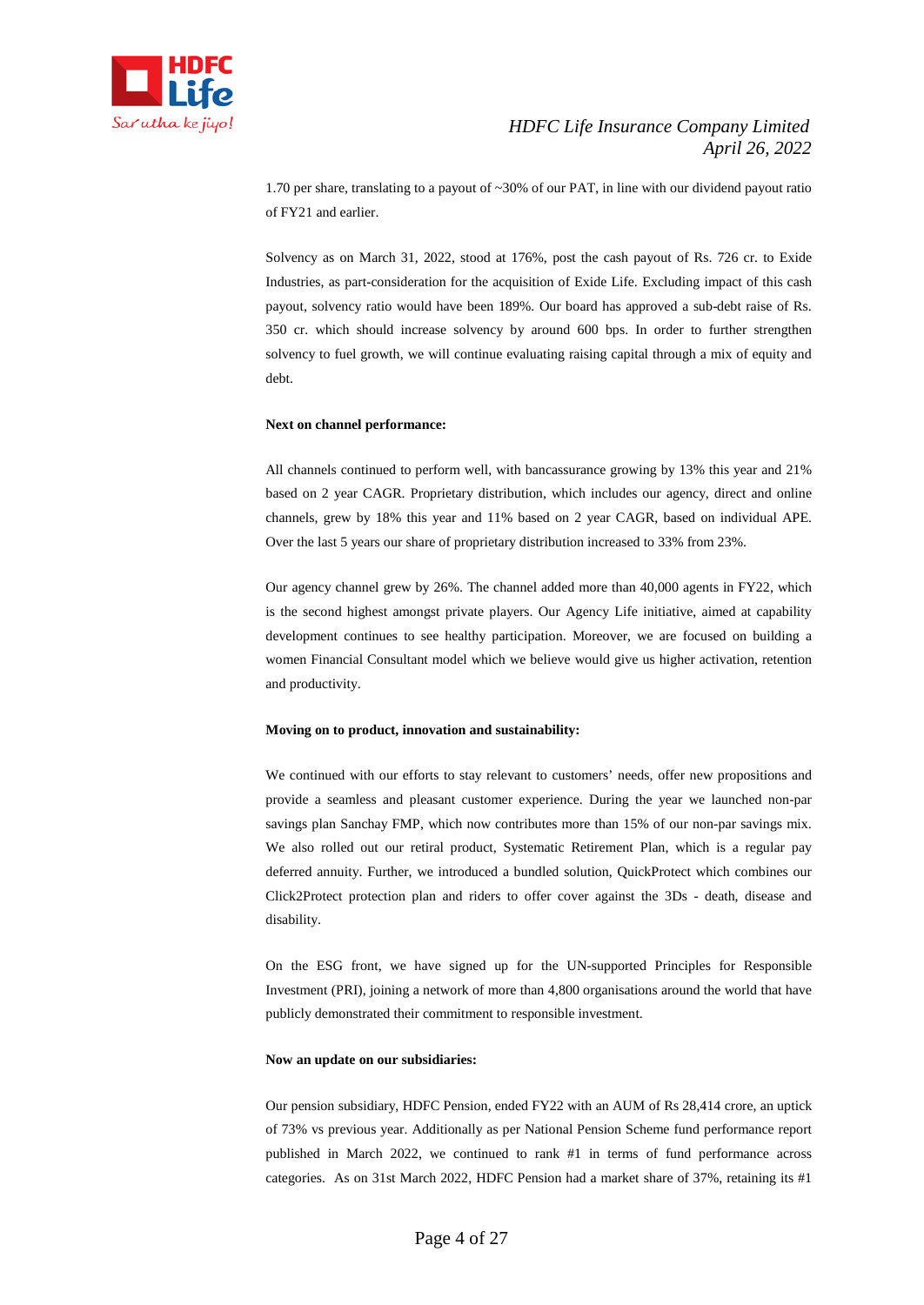

1.70 per share, translating to a payout of ~30% of our PAT, in line with our dividend payout ratio of FY21 and earlier.

Solvency as on March 31, 2022, stood at 176%, post the cash payout of Rs. 726 cr. to Exide Industries, as part-consideration for the acquisition of Exide Life. Excluding impact of this cash payout, solvency ratio would have been 189%. Our board has approved a sub-debt raise of Rs. 350 cr. which should increase solvency by around 600 bps. In order to further strengthen solvency to fuel growth, we will continue evaluating raising capital through a mix of equity and debt.

#### **Next on channel performance:**

All channels continued to perform well, with bancassurance growing by 13% this year and 21% based on 2 year CAGR. Proprietary distribution, which includes our agency, direct and online channels, grew by 18% this year and 11% based on 2 year CAGR, based on individual APE. Over the last 5 years our share of proprietary distribution increased to 33% from 23%.

Our agency channel grew by 26%. The channel added more than 40,000 agents in FY22, which is the second highest amongst private players. Our Agency Life initiative, aimed at capability development continues to see healthy participation. Moreover, we are focused on building a women Financial Consultant model which we believe would give us higher activation, retention and productivity.

#### **Moving on to product, innovation and sustainability:**

We continued with our efforts to stay relevant to customers' needs, offer new propositions and provide a seamless and pleasant customer experience. During the year we launched non-par savings plan Sanchay FMP, which now contributes more than 15% of our non-par savings mix. We also rolled out our retiral product, Systematic Retirement Plan, which is a regular pay deferred annuity. Further, we introduced a bundled solution, QuickProtect which combines our Click2Protect protection plan and riders to offer cover against the 3Ds - death, disease and disability.

On the ESG front, we have signed up for the UN-supported Principles for Responsible Investment (PRI), joining a network of more than 4,800 organisations around the world that have publicly demonstrated their commitment to responsible investment.

#### **Now an update on our subsidiaries:**

Our pension subsidiary, HDFC Pension, ended FY22 with an AUM of Rs 28,414 crore, an uptick of 73% vs previous year. Additionally as per National Pension Scheme fund performance report published in March 2022, we continued to rank #1 in terms of fund performance across categories. As on 31st March 2022, HDFC Pension had a market share of 37%, retaining its #1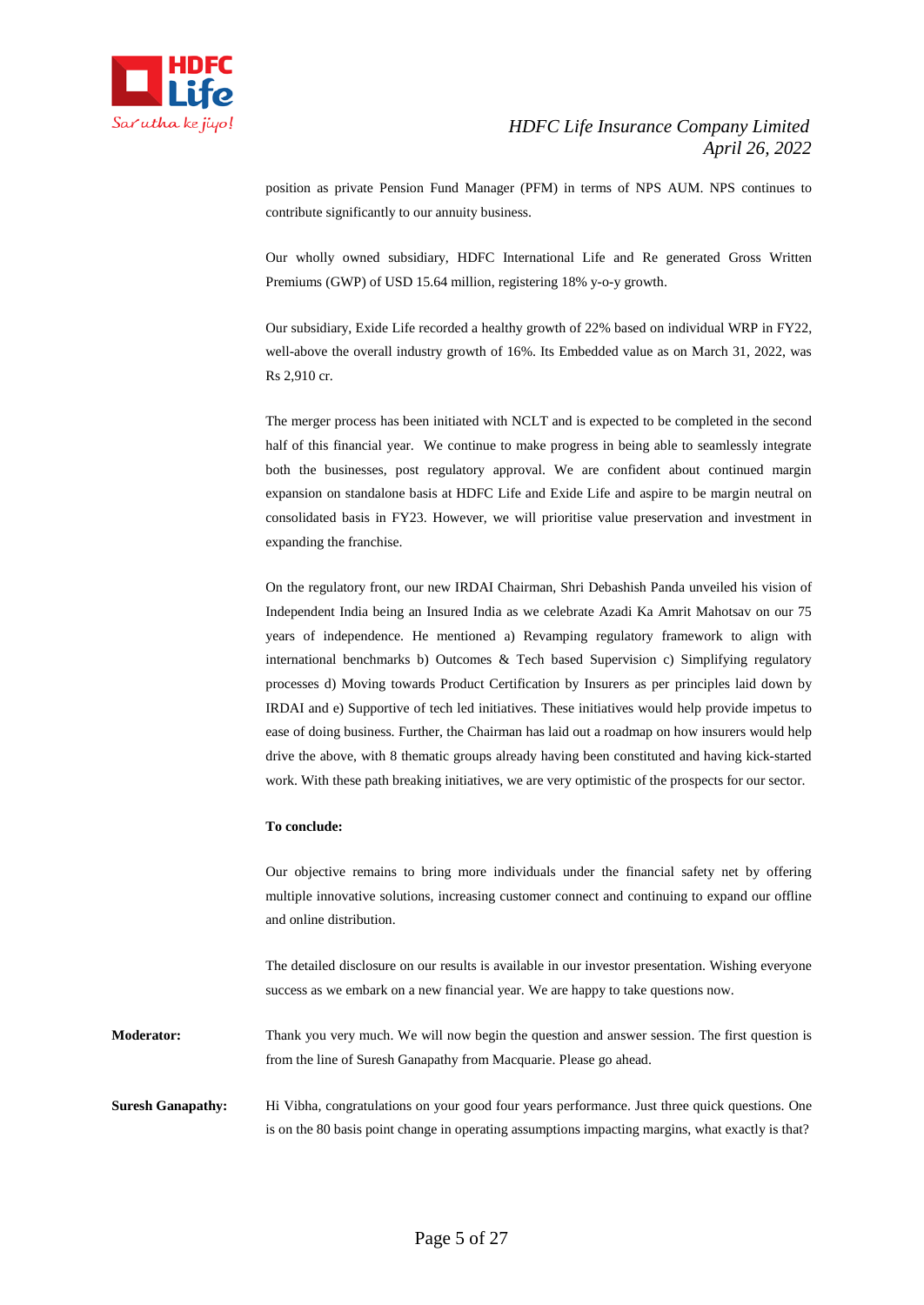

position as private Pension Fund Manager (PFM) in terms of NPS AUM. NPS continues to contribute significantly to our annuity business.

Our wholly owned subsidiary, HDFC International Life and Re generated Gross Written Premiums (GWP) of USD 15.64 million, registering 18% y-o-y growth.

Our subsidiary, Exide Life recorded a healthy growth of 22% based on individual WRP in FY22, well-above the overall industry growth of 16%. Its Embedded value as on March 31, 2022, was Rs 2,910 cr.

The merger process has been initiated with NCLT and is expected to be completed in the second half of this financial year. We continue to make progress in being able to seamlessly integrate both the businesses, post regulatory approval. We are confident about continued margin expansion on standalone basis at HDFC Life and Exide Life and aspire to be margin neutral on consolidated basis in FY23. However, we will prioritise value preservation and investment in expanding the franchise.

On the regulatory front, our new IRDAI Chairman, Shri Debashish Panda unveiled his vision of Independent India being an Insured India as we celebrate Azadi Ka Amrit Mahotsav on our 75 years of independence. He mentioned a) Revamping regulatory framework to align with international benchmarks b) Outcomes & Tech based Supervision c) Simplifying regulatory processes d) Moving towards Product Certification by Insurers as per principles laid down by IRDAI and e) Supportive of tech led initiatives. These initiatives would help provide impetus to ease of doing business. Further, the Chairman has laid out a roadmap on how insurers would help drive the above, with 8 thematic groups already having been constituted and having kick-started work. With these path breaking initiatives, we are very optimistic of the prospects for our sector.

#### **To conclude:**

Our objective remains to bring more individuals under the financial safety net by offering multiple innovative solutions, increasing customer connect and continuing to expand our offline and online distribution.

The detailed disclosure on our results is available in our investor presentation. Wishing everyone success as we embark on a new financial year. We are happy to take questions now.

**Moderator:** Thank you very much. We will now begin the question and answer session. The first question is from the line of Suresh Ganapathy from Macquarie. Please go ahead.

**Suresh Ganapathy:** Hi Vibha, congratulations on your good four years performance. Just three quick questions. One is on the 80 basis point change in operating assumptions impacting margins, what exactly is that?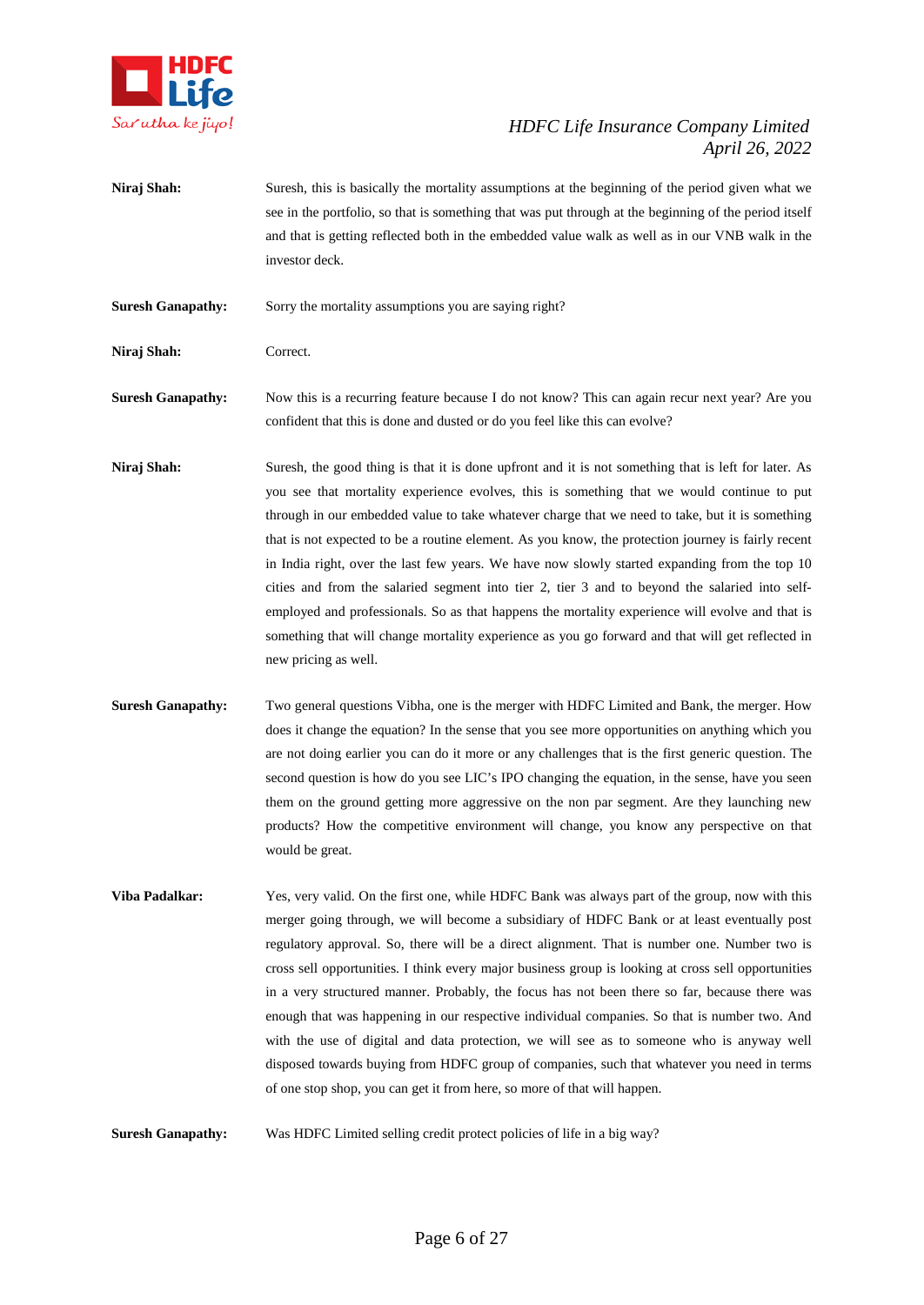

**Niraj Shah:** Suresh, this is basically the mortality assumptions at the beginning of the period given what we see in the portfolio, so that is something that was put through at the beginning of the period itself and that is getting reflected both in the embedded value walk as well as in our VNB walk in the investor deck.

**Suresh Ganapathy:** Sorry the mortality assumptions you are saying right?

**Niraj Shah:** Correct.

**Suresh Ganapathy:** Now this is a recurring feature because I do not know? This can again recur next year? Are you confident that this is done and dusted or do you feel like this can evolve?

- **Niraj Shah:** Suresh, the good thing is that it is done upfront and it is not something that is left for later. As you see that mortality experience evolves, this is something that we would continue to put through in our embedded value to take whatever charge that we need to take, but it is something that is not expected to be a routine element. As you know, the protection journey is fairly recent in India right, over the last few years. We have now slowly started expanding from the top 10 cities and from the salaried segment into tier 2, tier 3 and to beyond the salaried into selfemployed and professionals. So as that happens the mortality experience will evolve and that is something that will change mortality experience as you go forward and that will get reflected in new pricing as well.
- **Suresh Ganapathy:** Two general questions Vibha, one is the merger with HDFC Limited and Bank, the merger. How does it change the equation? In the sense that you see more opportunities on anything which you are not doing earlier you can do it more or any challenges that is the first generic question. The second question is how do you see LIC's IPO changing the equation, in the sense, have you seen them on the ground getting more aggressive on the non par segment. Are they launching new products? How the competitive environment will change, you know any perspective on that would be great.
- **Viba Padalkar:** Yes, very valid. On the first one, while HDFC Bank was always part of the group, now with this merger going through, we will become a subsidiary of HDFC Bank or at least eventually post regulatory approval. So, there will be a direct alignment. That is number one. Number two is cross sell opportunities. I think every major business group is looking at cross sell opportunities in a very structured manner. Probably, the focus has not been there so far, because there was enough that was happening in our respective individual companies. So that is number two. And with the use of digital and data protection, we will see as to someone who is anyway well disposed towards buying from HDFC group of companies, such that whatever you need in terms of one stop shop, you can get it from here, so more of that will happen.

**Suresh Ganapathy:** Was HDFC Limited selling credit protect policies of life in a big way?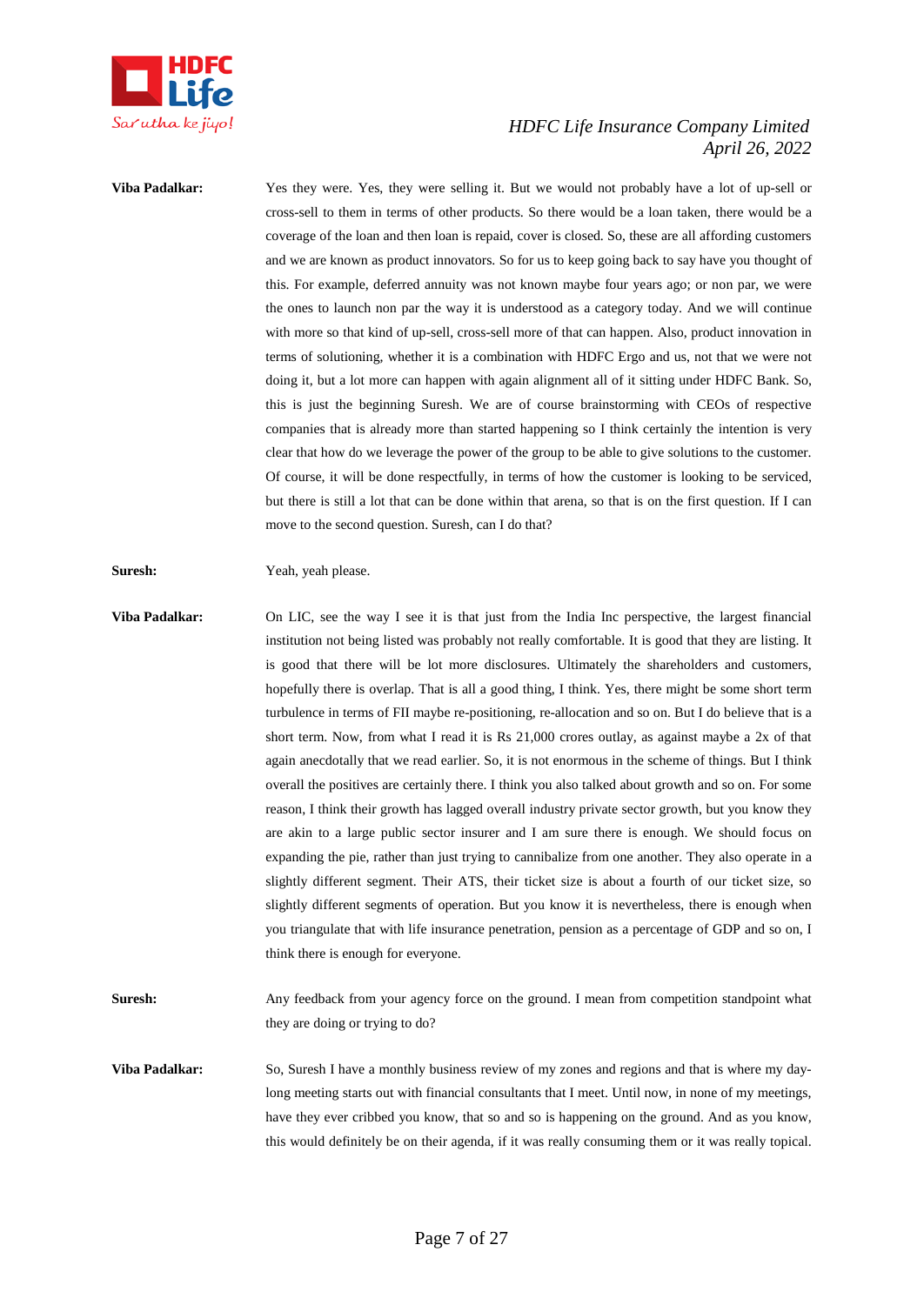

**Viba Padalkar:** Yes they were. Yes, they were selling it. But we would not probably have a lot of up-sell or cross-sell to them in terms of other products. So there would be a loan taken, there would be a coverage of the loan and then loan is repaid, cover is closed. So, these are all affording customers and we are known as product innovators. So for us to keep going back to say have you thought of this. For example, deferred annuity was not known maybe four years ago; or non par, we were the ones to launch non par the way it is understood as a category today. And we will continue with more so that kind of up-sell, cross-sell more of that can happen. Also, product innovation in terms of solutioning, whether it is a combination with HDFC Ergo and us, not that we were not doing it, but a lot more can happen with again alignment all of it sitting under HDFC Bank. So, this is just the beginning Suresh. We are of course brainstorming with CEOs of respective companies that is already more than started happening so I think certainly the intention is very clear that how do we leverage the power of the group to be able to give solutions to the customer. Of course, it will be done respectfully, in terms of how the customer is looking to be serviced, but there is still a lot that can be done within that arena, so that is on the first question. If I can move to the second question. Suresh, can I do that?

#### **Suresh:** Yeah, yeah please.

- **Viba Padalkar:** On LIC, see the way I see it is that just from the India Inc perspective, the largest financial institution not being listed was probably not really comfortable. It is good that they are listing. It is good that there will be lot more disclosures. Ultimately the shareholders and customers, hopefully there is overlap. That is all a good thing, I think. Yes, there might be some short term turbulence in terms of FII maybe re-positioning, re-allocation and so on. But I do believe that is a short term. Now, from what I read it is Rs 21,000 crores outlay, as against maybe a 2x of that again anecdotally that we read earlier. So, it is not enormous in the scheme of things. But I think overall the positives are certainly there. I think you also talked about growth and so on. For some reason, I think their growth has lagged overall industry private sector growth, but you know they are akin to a large public sector insurer and I am sure there is enough. We should focus on expanding the pie, rather than just trying to cannibalize from one another. They also operate in a slightly different segment. Their ATS, their ticket size is about a fourth of our ticket size, so slightly different segments of operation. But you know it is nevertheless, there is enough when you triangulate that with life insurance penetration, pension as a percentage of GDP and so on, I think there is enough for everyone.
- **Suresh:** Any feedback from your agency force on the ground. I mean from competition standpoint what they are doing or trying to do?
- **Viba Padalkar:** So, Suresh I have a monthly business review of my zones and regions and that is where my daylong meeting starts out with financial consultants that I meet. Until now, in none of my meetings, have they ever cribbed you know, that so and so is happening on the ground. And as you know, this would definitely be on their agenda, if it was really consuming them or it was really topical.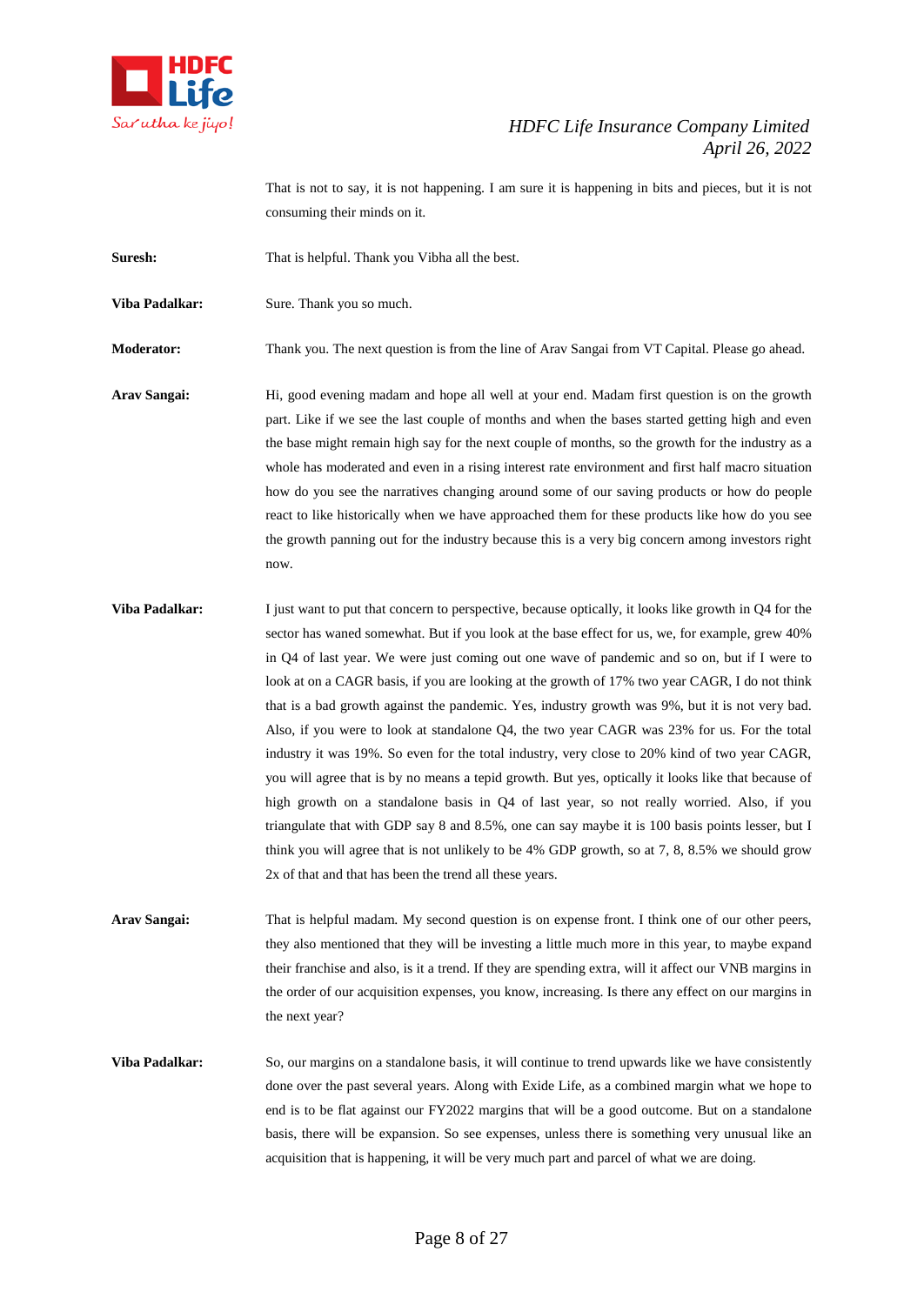

That is not to say, it is not happening. I am sure it is happening in bits and pieces, but it is not consuming their minds on it.

**Suresh:** That is helpful. Thank you Vibha all the best.

**Viba Padalkar:** Sure. Thank you so much.

**Moderator:** Thank you. The next question is from the line of Arav Sangai from VT Capital. Please go ahead.

- **Arav Sangai:** Hi, good evening madam and hope all well at your end. Madam first question is on the growth part. Like if we see the last couple of months and when the bases started getting high and even the base might remain high say for the next couple of months, so the growth for the industry as a whole has moderated and even in a rising interest rate environment and first half macro situation how do you see the narratives changing around some of our saving products or how do people react to like historically when we have approached them for these products like how do you see the growth panning out for the industry because this is a very big concern among investors right now.
- **Viba Padalkar:** I just want to put that concern to perspective, because optically, it looks like growth in Q4 for the sector has waned somewhat. But if you look at the base effect for us, we, for example, grew 40% in Q4 of last year. We were just coming out one wave of pandemic and so on, but if I were to look at on a CAGR basis, if you are looking at the growth of 17% two year CAGR, I do not think that is a bad growth against the pandemic. Yes, industry growth was 9%, but it is not very bad. Also, if you were to look at standalone Q4, the two year CAGR was 23% for us. For the total industry it was 19%. So even for the total industry, very close to 20% kind of two year CAGR, you will agree that is by no means a tepid growth. But yes, optically it looks like that because of high growth on a standalone basis in Q4 of last year, so not really worried. Also, if you triangulate that with GDP say 8 and 8.5%, one can say maybe it is 100 basis points lesser, but I think you will agree that is not unlikely to be 4% GDP growth, so at 7, 8, 8.5% we should grow 2x of that and that has been the trend all these years.

**Arav Sangai:** That is helpful madam. My second question is on expense front. I think one of our other peers, they also mentioned that they will be investing a little much more in this year, to maybe expand their franchise and also, is it a trend. If they are spending extra, will it affect our VNB margins in the order of our acquisition expenses, you know, increasing. Is there any effect on our margins in the next year?

**Viba Padalkar:** So, our margins on a standalone basis, it will continue to trend upwards like we have consistently done over the past several years. Along with Exide Life, as a combined margin what we hope to end is to be flat against our FY2022 margins that will be a good outcome. But on a standalone basis, there will be expansion. So see expenses, unless there is something very unusual like an acquisition that is happening, it will be very much part and parcel of what we are doing.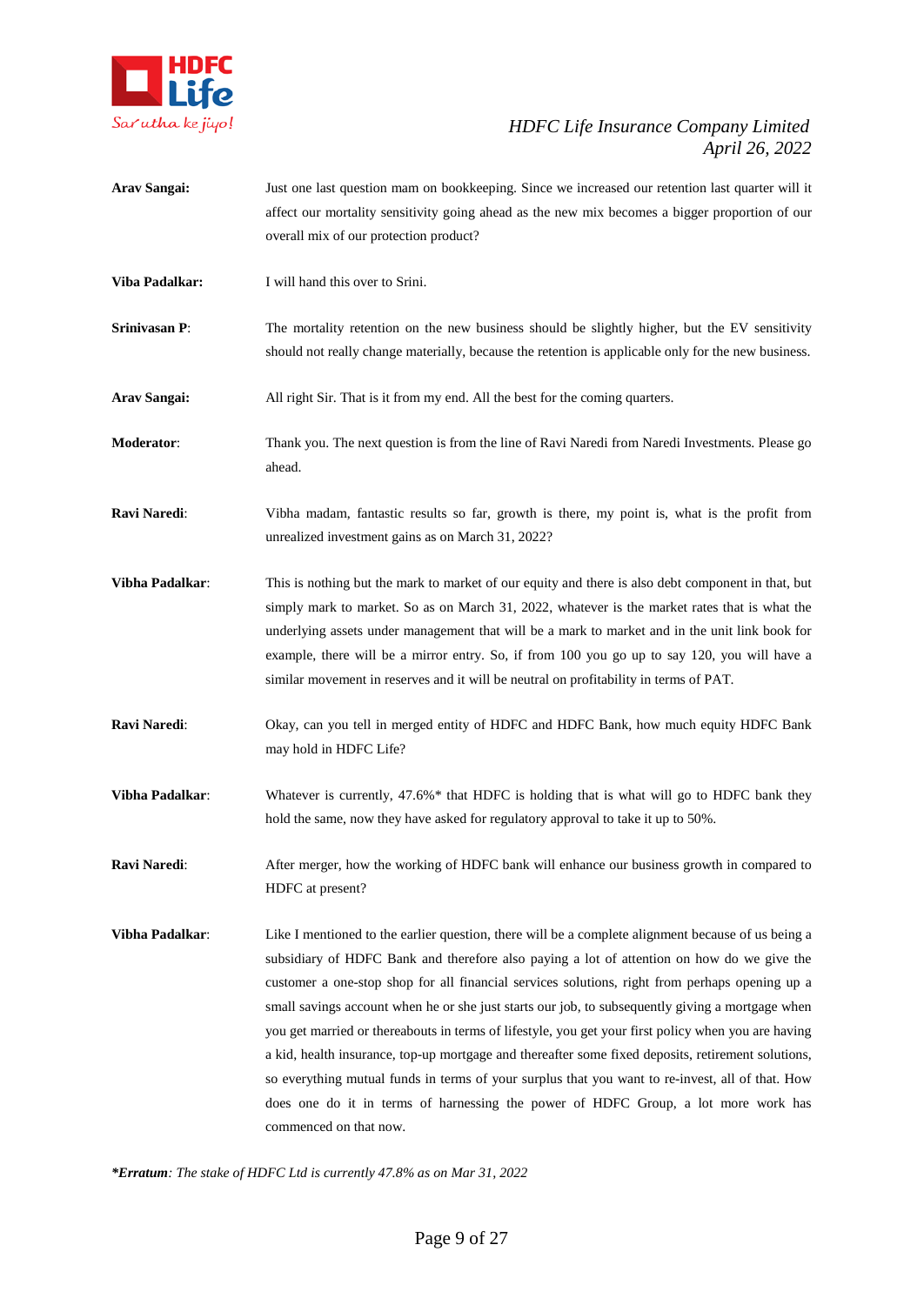

- **Arav Sangai:** Just one last question mam on bookkeeping. Since we increased our retention last quarter will it affect our mortality sensitivity going ahead as the new mix becomes a bigger proportion of our overall mix of our protection product?
- **Viba Padalkar:** I will hand this over to Srini.
- **Srinivasan P:** The mortality retention on the new business should be slightly higher, but the EV sensitivity should not really change materially, because the retention is applicable only for the new business.
- **Arav Sangai:** All right Sir. That is it from my end. All the best for the coming quarters.
- **Moderator**: Thank you. The next question is from the line of Ravi Naredi from Naredi Investments. Please go ahead.
- **Ravi Naredi**: Vibha madam, fantastic results so far, growth is there, my point is, what is the profit from unrealized investment gains as on March 31, 2022?
- **Vibha Padalkar**: This is nothing but the mark to market of our equity and there is also debt component in that, but simply mark to market. So as on March 31, 2022, whatever is the market rates that is what the underlying assets under management that will be a mark to market and in the unit link book for example, there will be a mirror entry. So, if from 100 you go up to say 120, you will have a similar movement in reserves and it will be neutral on profitability in terms of PAT.
- **Ravi Naredi**: Okay, can you tell in merged entity of HDFC and HDFC Bank, how much equity HDFC Bank may hold in HDFC Life?
- **Vibha Padalkar:** Whatever is currently, 47.6%\* that HDFC is holding that is what will go to HDFC bank they hold the same, now they have asked for regulatory approval to take it up to 50%.
- **Ravi Naredi:** After merger, how the working of HDFC bank will enhance our business growth in compared to HDFC at present?
- **Vibha Padalkar:** Like I mentioned to the earlier question, there will be a complete alignment because of us being a subsidiary of HDFC Bank and therefore also paying a lot of attention on how do we give the customer a one-stop shop for all financial services solutions, right from perhaps opening up a small savings account when he or she just starts our job, to subsequently giving a mortgage when you get married or thereabouts in terms of lifestyle, you get your first policy when you are having a kid, health insurance, top-up mortgage and thereafter some fixed deposits, retirement solutions, so everything mutual funds in terms of your surplus that you want to re-invest, all of that. How does one do it in terms of harnessing the power of HDFC Group, a lot more work has commenced on that now.

*\*Erratum: The stake of HDFC Ltd is currently 47.8% as on Mar 31, 2022*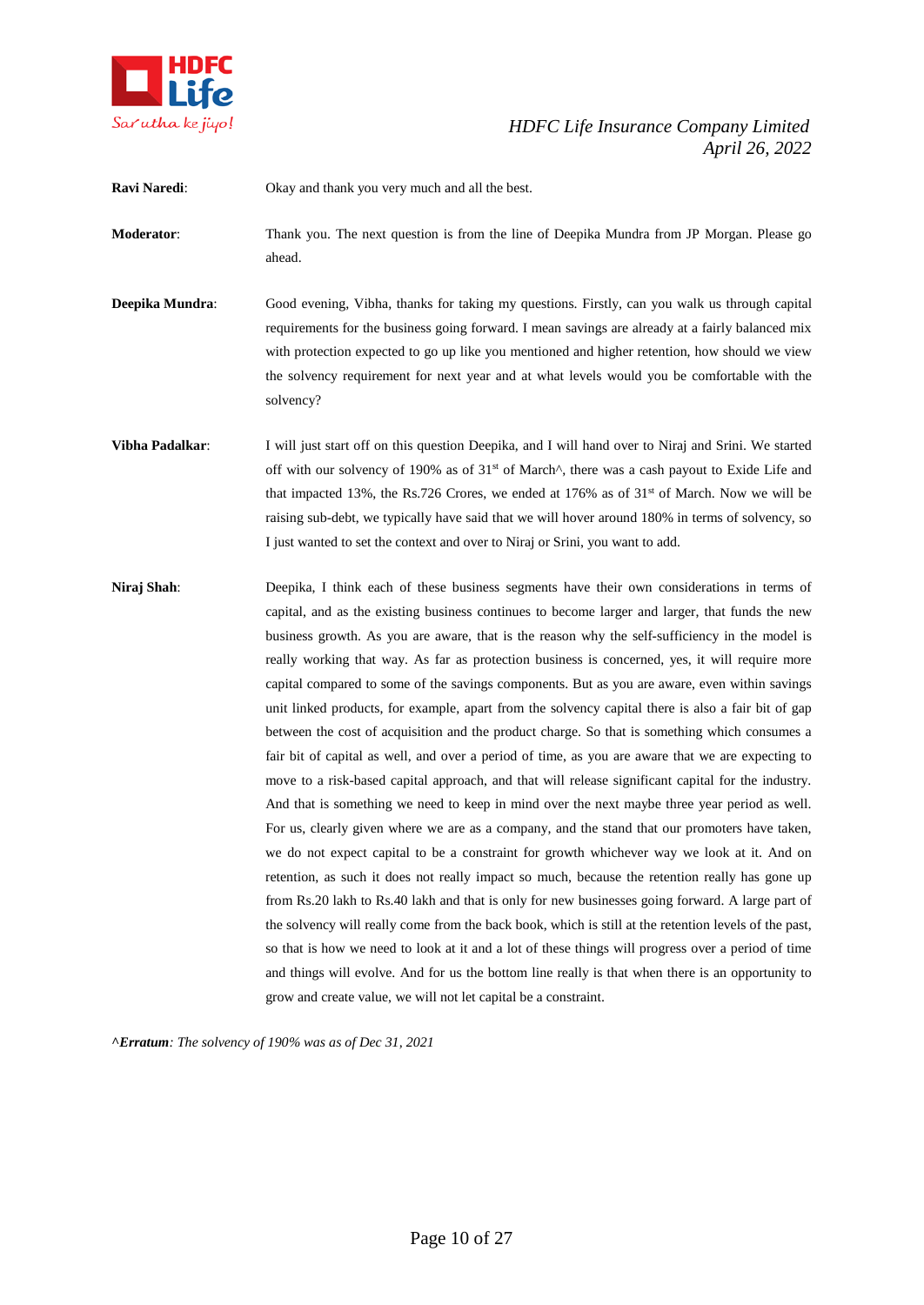

**Ravi Naredi**: Okay and thank you very much and all the best.

**Moderator**: Thank you. The next question is from the line of Deepika Mundra from JP Morgan. Please go ahead.

**Deepika Mundra**: Good evening, Vibha, thanks for taking my questions. Firstly, can you walk us through capital requirements for the business going forward. I mean savings are already at a fairly balanced mix with protection expected to go up like you mentioned and higher retention, how should we view the solvency requirement for next year and at what levels would you be comfortable with the solvency?

**Vibha Padalkar**: I will just start off on this question Deepika, and I will hand over to Niraj and Srini. We started off with our solvency of 190% as of  $31<sup>st</sup>$  of March<sup> $\wedge$ </sup>, there was a cash payout to Exide Life and that impacted 13%, the Rs.726 Crores, we ended at  $176\%$  as of  $31<sup>st</sup>$  of March. Now we will be raising sub-debt, we typically have said that we will hover around 180% in terms of solvency, so I just wanted to set the context and over to Niraj or Srini, you want to add.

**Niraj Shah**: Deepika, I think each of these business segments have their own considerations in terms of capital, and as the existing business continues to become larger and larger, that funds the new business growth. As you are aware, that is the reason why the self-sufficiency in the model is really working that way. As far as protection business is concerned, yes, it will require more capital compared to some of the savings components. But as you are aware, even within savings unit linked products, for example, apart from the solvency capital there is also a fair bit of gap between the cost of acquisition and the product charge. So that is something which consumes a fair bit of capital as well, and over a period of time, as you are aware that we are expecting to move to a risk-based capital approach, and that will release significant capital for the industry. And that is something we need to keep in mind over the next maybe three year period as well. For us, clearly given where we are as a company, and the stand that our promoters have taken, we do not expect capital to be a constraint for growth whichever way we look at it. And on retention, as such it does not really impact so much, because the retention really has gone up from Rs.20 lakh to Rs.40 lakh and that is only for new businesses going forward. A large part of the solvency will really come from the back book, which is still at the retention levels of the past, so that is how we need to look at it and a lot of these things will progress over a period of time and things will evolve. And for us the bottom line really is that when there is an opportunity to grow and create value, we will not let capital be a constraint.

*^Erratum: The solvency of 190% was as of Dec 31, 2021*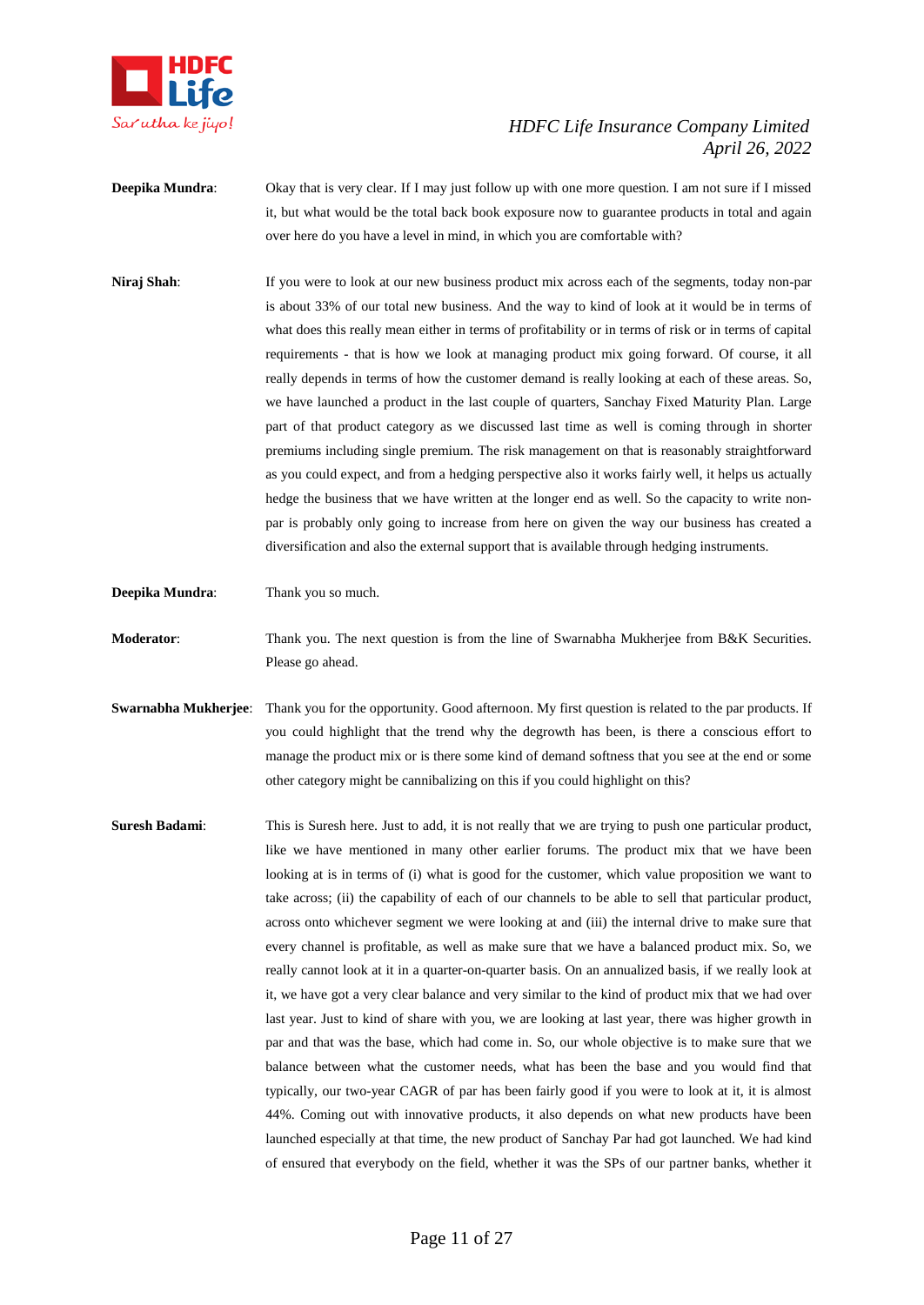

- **Deepika Mundra**: Okay that is very clear. If I may just follow up with one more question. I am not sure if I missed it, but what would be the total back book exposure now to guarantee products in total and again over here do you have a level in mind, in which you are comfortable with?
- **Niraj Shah:** If you were to look at our new business product mix across each of the segments, today non-par is about 33% of our total new business. And the way to kind of look at it would be in terms of what does this really mean either in terms of profitability or in terms of risk or in terms of capital requirements - that is how we look at managing product mix going forward. Of course, it all really depends in terms of how the customer demand is really looking at each of these areas. So, we have launched a product in the last couple of quarters, Sanchay Fixed Maturity Plan. Large part of that product category as we discussed last time as well is coming through in shorter premiums including single premium. The risk management on that is reasonably straightforward as you could expect, and from a hedging perspective also it works fairly well, it helps us actually hedge the business that we have written at the longer end as well. So the capacity to write nonpar is probably only going to increase from here on given the way our business has created a diversification and also the external support that is available through hedging instruments.
- **Deepika Mundra**: Thank you so much.
- **Moderator:** Thank you. The next question is from the line of Swarnabha Mukherjee from B&K Securities. Please go ahead.
- **Swarnabha Mukherjee**: Thank you for the opportunity. Good afternoon. My first question is related to the par products. If you could highlight that the trend why the degrowth has been, is there a conscious effort to manage the product mix or is there some kind of demand softness that you see at the end or some other category might be cannibalizing on this if you could highlight on this?
- **Suresh Badami:** This is Suresh here. Just to add, it is not really that we are trying to push one particular product, like we have mentioned in many other earlier forums. The product mix that we have been looking at is in terms of (i) what is good for the customer, which value proposition we want to take across; (ii) the capability of each of our channels to be able to sell that particular product, across onto whichever segment we were looking at and (iii) the internal drive to make sure that every channel is profitable, as well as make sure that we have a balanced product mix. So, we really cannot look at it in a quarter-on-quarter basis. On an annualized basis, if we really look at it, we have got a very clear balance and very similar to the kind of product mix that we had over last year. Just to kind of share with you, we are looking at last year, there was higher growth in par and that was the base, which had come in. So, our whole objective is to make sure that we balance between what the customer needs, what has been the base and you would find that typically, our two-year CAGR of par has been fairly good if you were to look at it, it is almost 44%. Coming out with innovative products, it also depends on what new products have been launched especially at that time, the new product of Sanchay Par had got launched. We had kind of ensured that everybody on the field, whether it was the SPs of our partner banks, whether it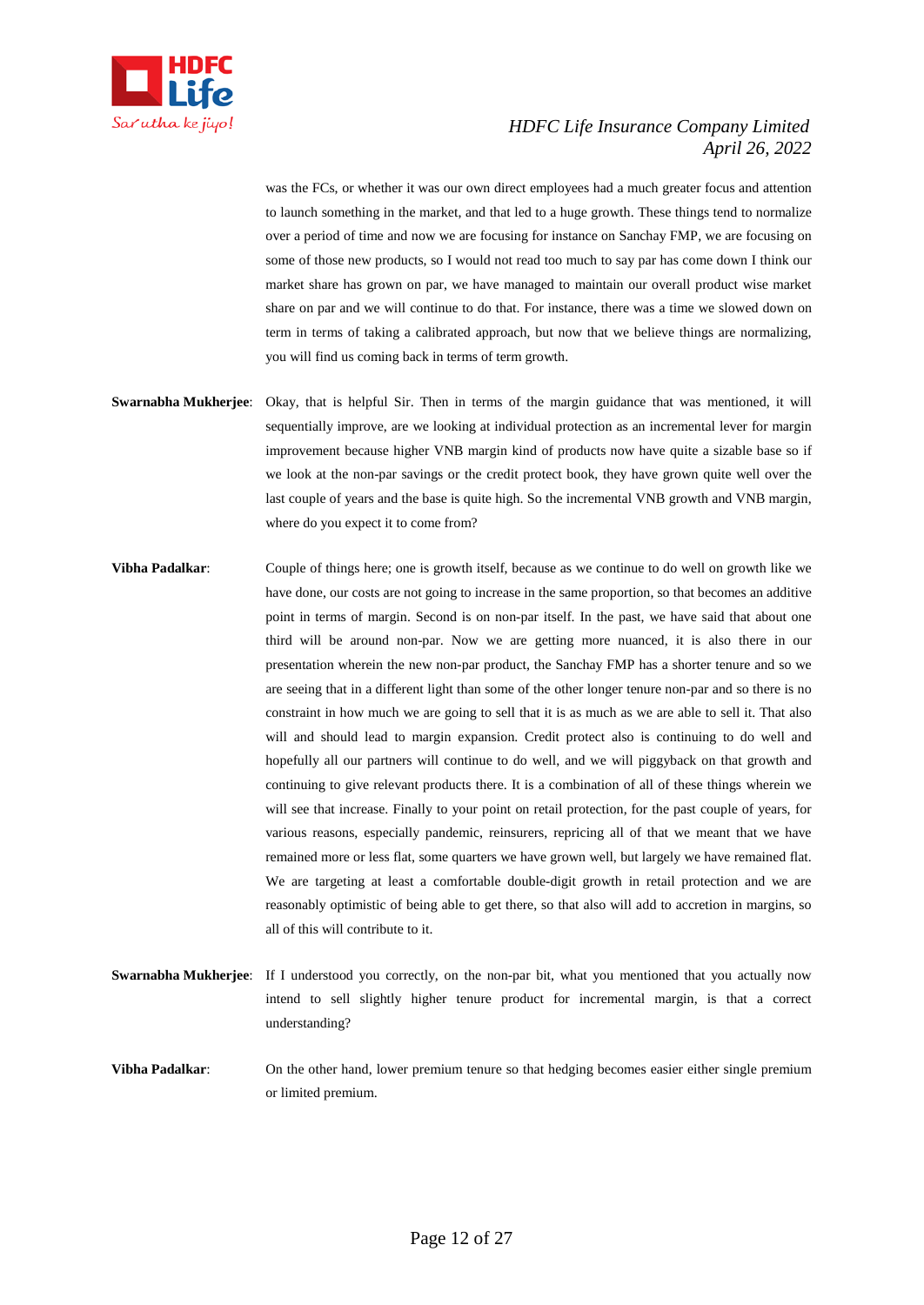

was the FCs, or whether it was our own direct employees had a much greater focus and attention to launch something in the market, and that led to a huge growth. These things tend to normalize over a period of time and now we are focusing for instance on Sanchay FMP, we are focusing on some of those new products, so I would not read too much to say par has come down I think our market share has grown on par, we have managed to maintain our overall product wise market share on par and we will continue to do that. For instance, there was a time we slowed down on term in terms of taking a calibrated approach, but now that we believe things are normalizing, you will find us coming back in terms of term growth.

- **Swarnabha Mukherjee**: Okay, that is helpful Sir. Then in terms of the margin guidance that was mentioned, it will sequentially improve, are we looking at individual protection as an incremental lever for margin improvement because higher VNB margin kind of products now have quite a sizable base so if we look at the non-par savings or the credit protect book, they have grown quite well over the last couple of years and the base is quite high. So the incremental VNB growth and VNB margin, where do you expect it to come from?
- **Vibha Padalkar**: Couple of things here; one is growth itself, because as we continue to do well on growth like we have done, our costs are not going to increase in the same proportion, so that becomes an additive point in terms of margin. Second is on non-par itself. In the past, we have said that about one third will be around non-par. Now we are getting more nuanced, it is also there in our presentation wherein the new non-par product, the Sanchay FMP has a shorter tenure and so we are seeing that in a different light than some of the other longer tenure non-par and so there is no constraint in how much we are going to sell that it is as much as we are able to sell it. That also will and should lead to margin expansion. Credit protect also is continuing to do well and hopefully all our partners will continue to do well, and we will piggyback on that growth and continuing to give relevant products there. It is a combination of all of these things wherein we will see that increase. Finally to your point on retail protection, for the past couple of years, for various reasons, especially pandemic, reinsurers, repricing all of that we meant that we have remained more or less flat, some quarters we have grown well, but largely we have remained flat. We are targeting at least a comfortable double-digit growth in retail protection and we are reasonably optimistic of being able to get there, so that also will add to accretion in margins, so all of this will contribute to it.
- **Swarnabha Mukherjee**: If I understood you correctly, on the non-par bit, what you mentioned that you actually now intend to sell slightly higher tenure product for incremental margin, is that a correct understanding?
- **Vibha Padalkar**: On the other hand, lower premium tenure so that hedging becomes easier either single premium or limited premium.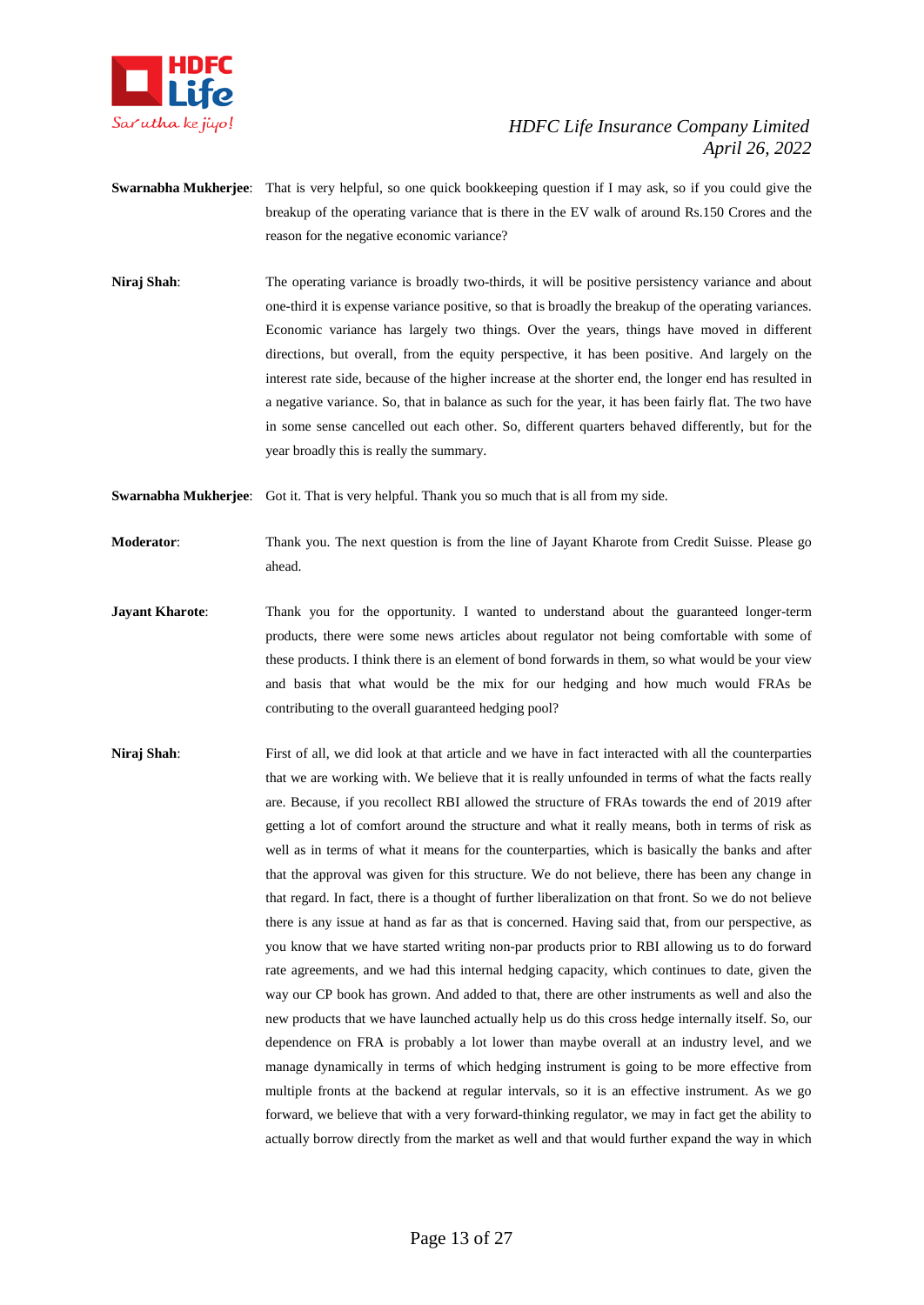

- **Swarnabha Mukherjee**: That is very helpful, so one quick bookkeeping question if I may ask, so if you could give the breakup of the operating variance that is there in the EV walk of around Rs.150 Crores and the reason for the negative economic variance?
- **Niraj Shah**: The operating variance is broadly two-thirds, it will be positive persistency variance and about one-third it is expense variance positive, so that is broadly the breakup of the operating variances. Economic variance has largely two things. Over the years, things have moved in different directions, but overall, from the equity perspective, it has been positive. And largely on the interest rate side, because of the higher increase at the shorter end, the longer end has resulted in a negative variance. So, that in balance as such for the year, it has been fairly flat. The two have in some sense cancelled out each other. So, different quarters behaved differently, but for the year broadly this is really the summary.

**Swarnabha Mukherjee**: Got it. That is very helpful. Thank you so much that is all from my side.

**Moderator**: Thank you. The next question is from the line of Jayant Kharote from Credit Suisse. Please go ahead.

- **Jayant Kharote:** Thank you for the opportunity. I wanted to understand about the guaranteed longer-term products, there were some news articles about regulator not being comfortable with some of these products. I think there is an element of bond forwards in them, so what would be your view and basis that what would be the mix for our hedging and how much would FRAs be contributing to the overall guaranteed hedging pool?
- **Niraj Shah**: First of all, we did look at that article and we have in fact interacted with all the counterparties that we are working with. We believe that it is really unfounded in terms of what the facts really are. Because, if you recollect RBI allowed the structure of FRAs towards the end of 2019 after getting a lot of comfort around the structure and what it really means, both in terms of risk as well as in terms of what it means for the counterparties, which is basically the banks and after that the approval was given for this structure. We do not believe, there has been any change in that regard. In fact, there is a thought of further liberalization on that front. So we do not believe there is any issue at hand as far as that is concerned. Having said that, from our perspective, as you know that we have started writing non-par products prior to RBI allowing us to do forward rate agreements, and we had this internal hedging capacity, which continues to date, given the way our CP book has grown. And added to that, there are other instruments as well and also the new products that we have launched actually help us do this cross hedge internally itself. So, our dependence on FRA is probably a lot lower than maybe overall at an industry level, and we manage dynamically in terms of which hedging instrument is going to be more effective from multiple fronts at the backend at regular intervals, so it is an effective instrument. As we go forward, we believe that with a very forward-thinking regulator, we may in fact get the ability to actually borrow directly from the market as well and that would further expand the way in which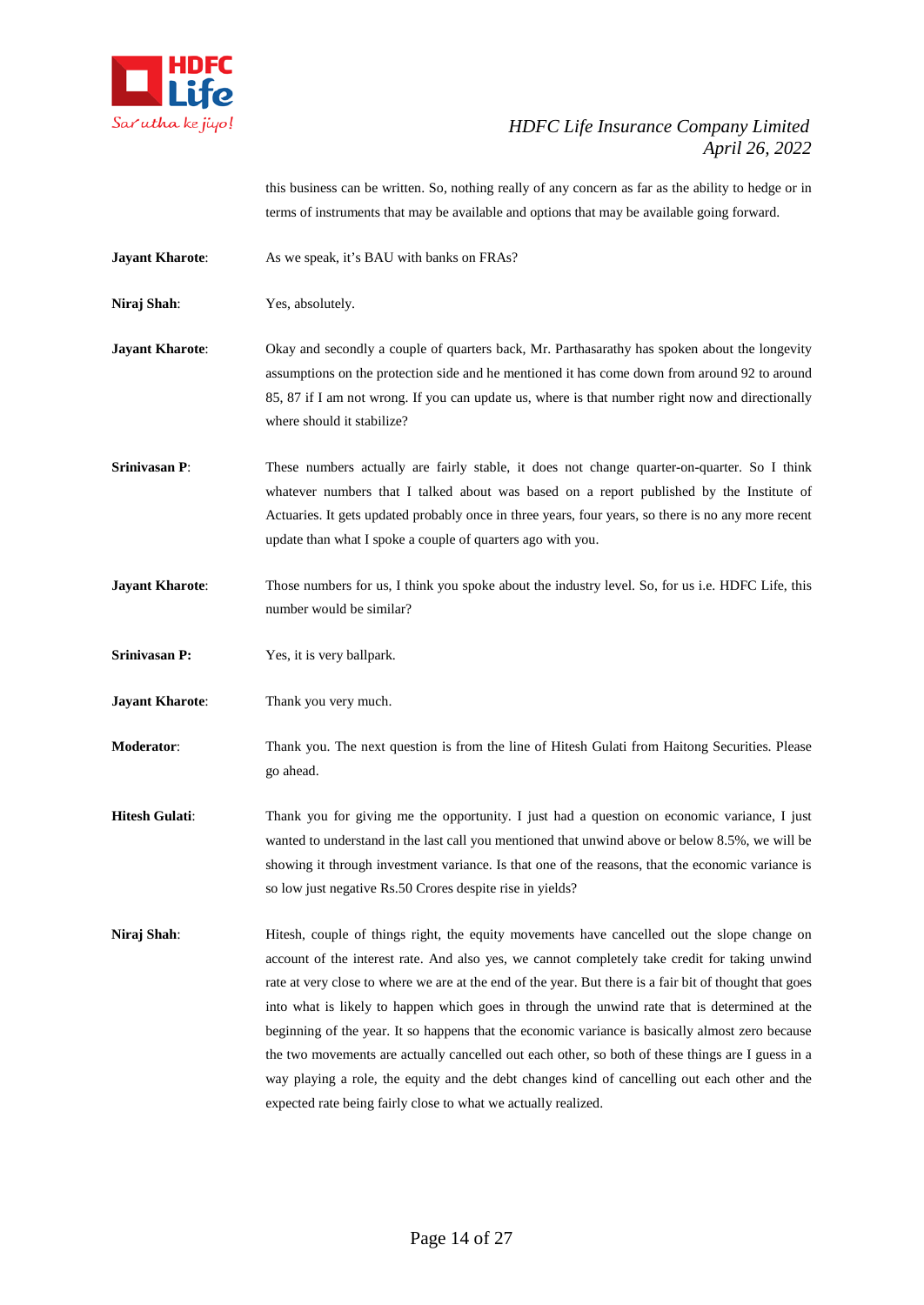

this business can be written. So, nothing really of any concern as far as the ability to hedge or in terms of instruments that may be available and options that may be available going forward.

**Jayant Kharote:** As we speak, it's BAU with banks on FRAs?

**Niraj Shah**: Yes, absolutely.

- **Jayant Kharote:** Okay and secondly a couple of quarters back, Mr. Parthasarathy has spoken about the longevity assumptions on the protection side and he mentioned it has come down from around 92 to around 85, 87 if I am not wrong. If you can update us, where is that number right now and directionally where should it stabilize?
- **Srinivasan P:** These numbers actually are fairly stable, it does not change quarter-on-quarter. So I think whatever numbers that I talked about was based on a report published by the Institute of Actuaries. It gets updated probably once in three years, four years, so there is no any more recent update than what I spoke a couple of quarters ago with you.
- **Jayant Kharote:** Those numbers for us, I think you spoke about the industry level. So, for us i.e. HDFC Life, this number would be similar?
- **Srinivasan P:** Yes, it is very ballpark.
- **Jayant Kharote:** Thank you very much.
- **Moderator**: Thank you. The next question is from the line of Hitesh Gulati from Haitong Securities. Please go ahead.
- **Hitesh Gulati:** Thank you for giving me the opportunity. I just had a question on economic variance, I just wanted to understand in the last call you mentioned that unwind above or below 8.5%, we will be showing it through investment variance. Is that one of the reasons, that the economic variance is so low just negative Rs.50 Crores despite rise in yields?
- **Niraj Shah:** Hitesh, couple of things right, the equity movements have cancelled out the slope change on account of the interest rate. And also yes, we cannot completely take credit for taking unwind rate at very close to where we are at the end of the year. But there is a fair bit of thought that goes into what is likely to happen which goes in through the unwind rate that is determined at the beginning of the year. It so happens that the economic variance is basically almost zero because the two movements are actually cancelled out each other, so both of these things are I guess in a way playing a role, the equity and the debt changes kind of cancelling out each other and the expected rate being fairly close to what we actually realized.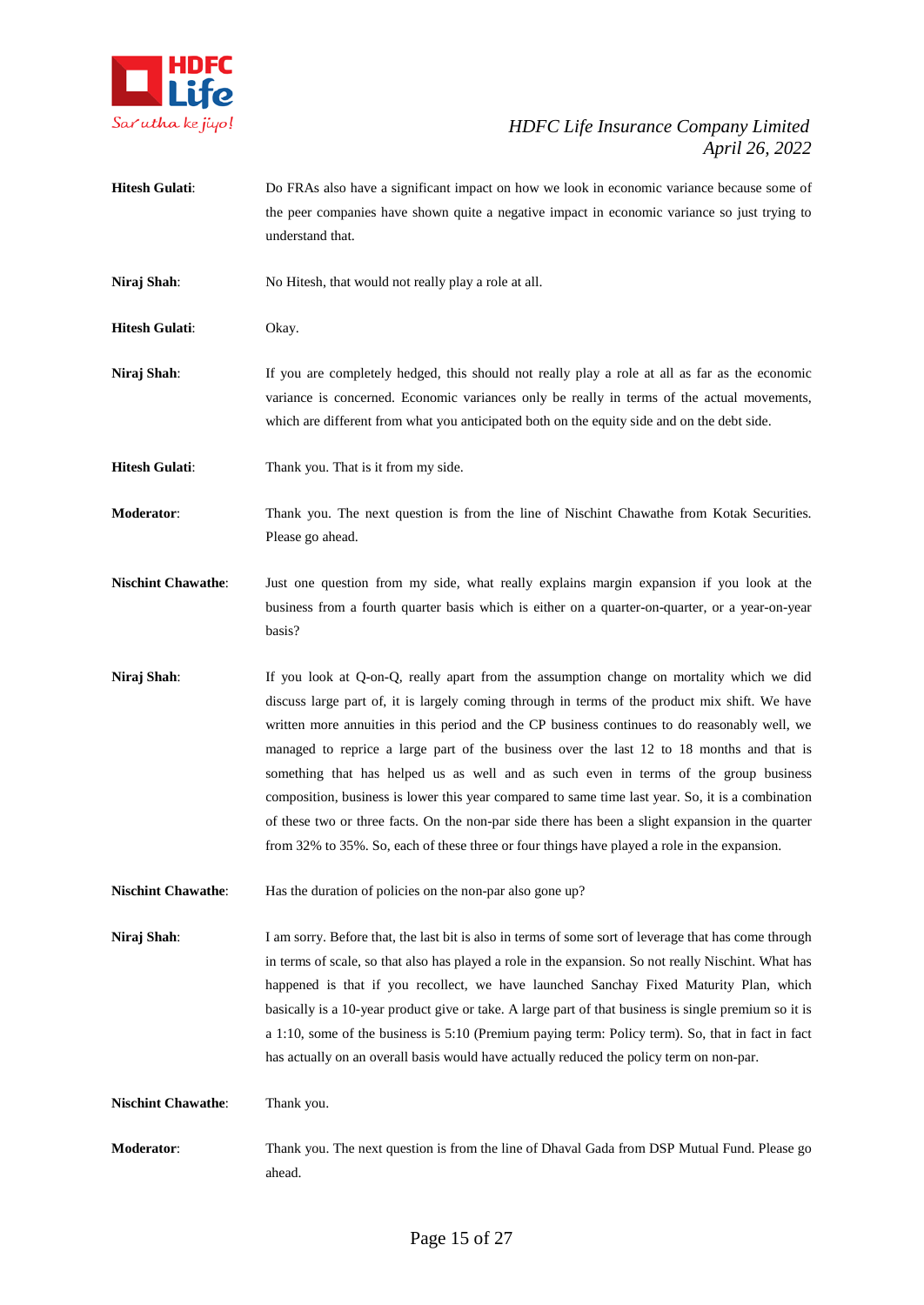

**Hitesh Gulati**: Do FRAs also have a significant impact on how we look in economic variance because some of the peer companies have shown quite a negative impact in economic variance so just trying to understand that.

**Niraj Shah**: No Hitesh, that would not really play a role at all.

**Hitesh Gulati**: Okay.

**Niraj Shah**: If you are completely hedged, this should not really play a role at all as far as the economic variance is concerned. Economic variances only be really in terms of the actual movements, which are different from what you anticipated both on the equity side and on the debt side.

**Hitesh Gulati:** Thank you. That is it from my side.

**Moderator**: Thank you. The next question is from the line of Nischint Chawathe from Kotak Securities. Please go ahead.

**Nischint Chawathe**: Just one question from my side, what really explains margin expansion if you look at the business from a fourth quarter basis which is either on a quarter-on-quarter, or a year-on-year basis?

**Niraj Shah**: If you look at Q-on-Q, really apart from the assumption change on mortality which we did discuss large part of, it is largely coming through in terms of the product mix shift. We have written more annuities in this period and the CP business continues to do reasonably well, we managed to reprice a large part of the business over the last 12 to 18 months and that is something that has helped us as well and as such even in terms of the group business composition, business is lower this year compared to same time last year. So, it is a combination of these two or three facts. On the non-par side there has been a slight expansion in the quarter from 32% to 35%. So, each of these three or four things have played a role in the expansion.

**Nischint Chawathe:** Has the duration of policies on the non-par also gone up?

**Niraj Shah**: I am sorry. Before that, the last bit is also in terms of some sort of leverage that has come through in terms of scale, so that also has played a role in the expansion. So not really Nischint. What has happened is that if you recollect, we have launched Sanchay Fixed Maturity Plan, which basically is a 10-year product give or take. A large part of that business is single premium so it is a 1:10, some of the business is 5:10 (Premium paying term: Policy term). So, that in fact in fact has actually on an overall basis would have actually reduced the policy term on non-par.

**Nischint Chawathe:** Thank you.

**Moderator**: Thank you. The next question is from the line of Dhaval Gada from DSP Mutual Fund. Please go ahead.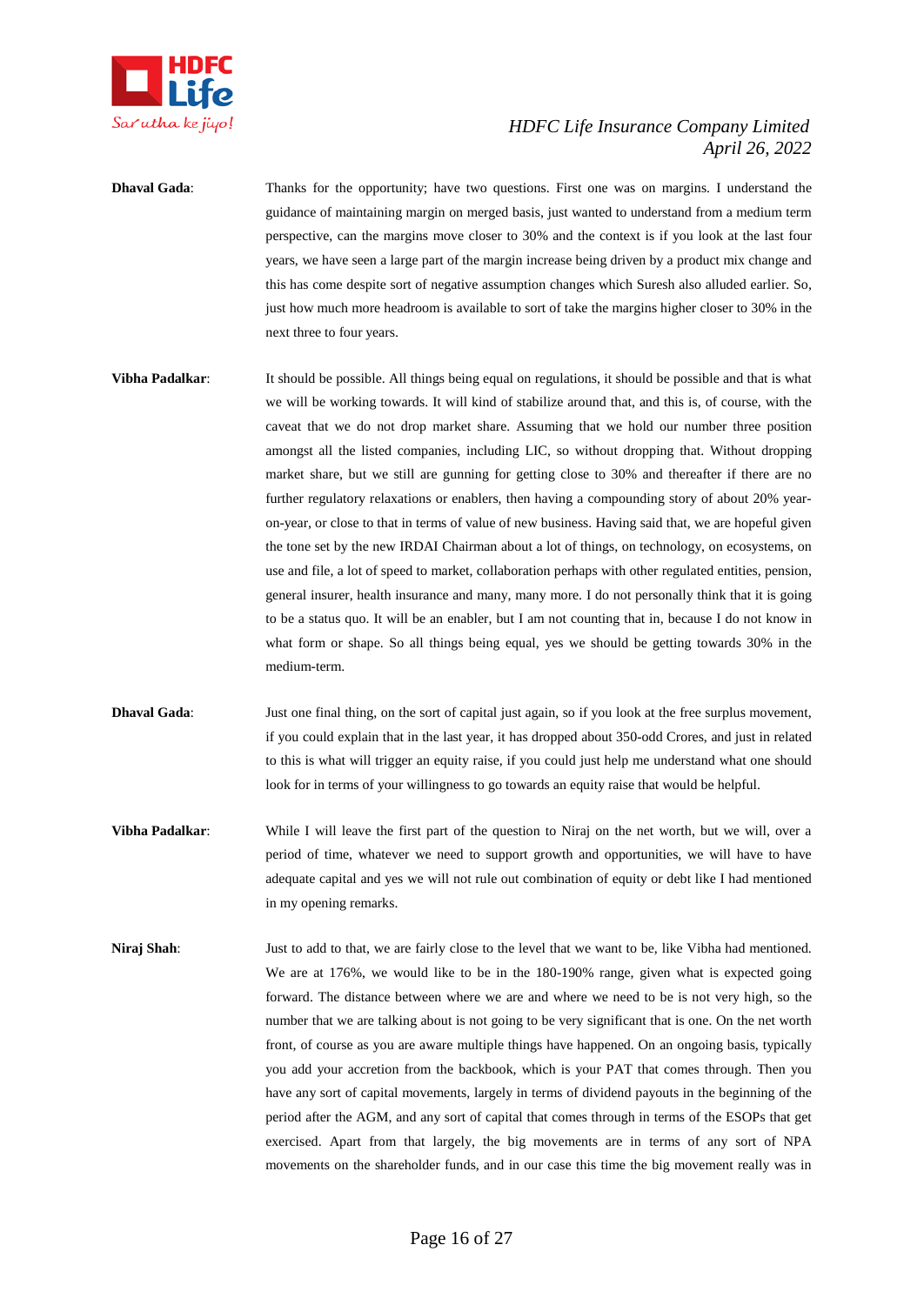

**Dhaval Gada:** Thanks for the opportunity; have two questions. First one was on margins. I understand the guidance of maintaining margin on merged basis, just wanted to understand from a medium term perspective, can the margins move closer to 30% and the context is if you look at the last four years, we have seen a large part of the margin increase being driven by a product mix change and this has come despite sort of negative assumption changes which Suresh also alluded earlier. So, just how much more headroom is available to sort of take the margins higher closer to 30% in the next three to four years.

- **Vibha Padalkar:** It should be possible. All things being equal on regulations, it should be possible and that is what we will be working towards. It will kind of stabilize around that, and this is, of course, with the caveat that we do not drop market share. Assuming that we hold our number three position amongst all the listed companies, including LIC, so without dropping that. Without dropping market share, but we still are gunning for getting close to 30% and thereafter if there are no further regulatory relaxations or enablers, then having a compounding story of about 20% yearon-year, or close to that in terms of value of new business. Having said that, we are hopeful given the tone set by the new IRDAI Chairman about a lot of things, on technology, on ecosystems, on use and file, a lot of speed to market, collaboration perhaps with other regulated entities, pension, general insurer, health insurance and many, many more. I do not personally think that it is going to be a status quo. It will be an enabler, but I am not counting that in, because I do not know in what form or shape. So all things being equal, yes we should be getting towards 30% in the medium-term.
- **Dhaval Gada:** Just one final thing, on the sort of capital just again, so if you look at the free surplus movement, if you could explain that in the last year, it has dropped about 350-odd Crores, and just in related to this is what will trigger an equity raise, if you could just help me understand what one should look for in terms of your willingness to go towards an equity raise that would be helpful.
- **Vibha Padalkar**: While I will leave the first part of the question to Niraj on the net worth, but we will, over a period of time, whatever we need to support growth and opportunities, we will have to have adequate capital and yes we will not rule out combination of equity or debt like I had mentioned in my opening remarks.
- **Niraj Shah**: Just to add to that, we are fairly close to the level that we want to be, like Vibha had mentioned. We are at 176%, we would like to be in the 180-190% range, given what is expected going forward. The distance between where we are and where we need to be is not very high, so the number that we are talking about is not going to be very significant that is one. On the net worth front, of course as you are aware multiple things have happened. On an ongoing basis, typically you add your accretion from the backbook, which is your PAT that comes through. Then you have any sort of capital movements, largely in terms of dividend payouts in the beginning of the period after the AGM, and any sort of capital that comes through in terms of the ESOPs that get exercised. Apart from that largely, the big movements are in terms of any sort of NPA movements on the shareholder funds, and in our case this time the big movement really was in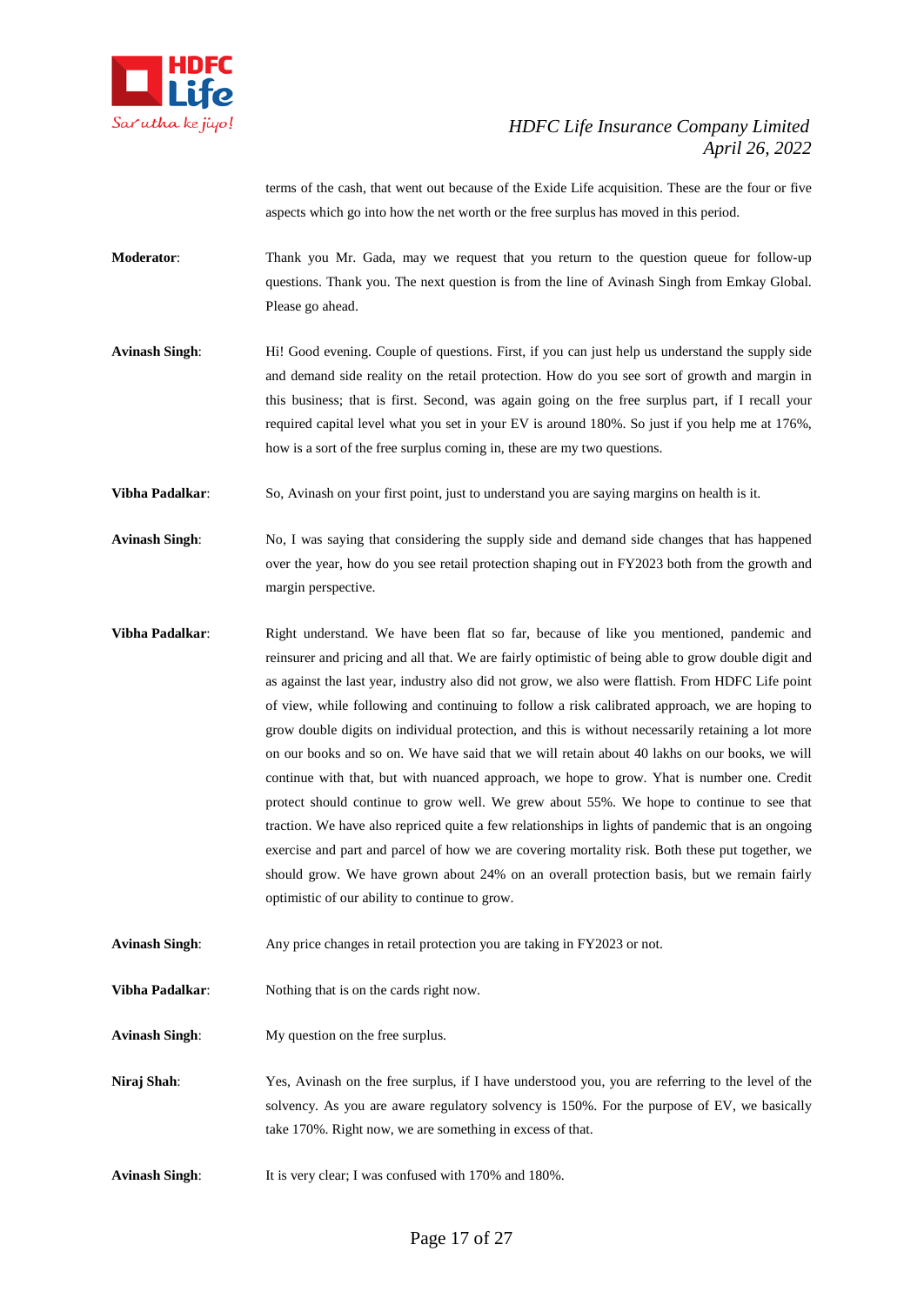

terms of the cash, that went out because of the Exide Life acquisition. These are the four or five aspects which go into how the net worth or the free surplus has moved in this period.

- **Moderator**: Thank you Mr. Gada, may we request that you return to the question queue for follow-up questions. Thank you. The next question is from the line of Avinash Singh from Emkay Global. Please go ahead.
- **Avinash Singh:** Hi! Good evening. Couple of questions. First, if you can just help us understand the supply side and demand side reality on the retail protection. How do you see sort of growth and margin in this business; that is first. Second, was again going on the free surplus part, if I recall your required capital level what you set in your EV is around 180%. So just if you help me at 176%, how is a sort of the free surplus coming in, these are my two questions.

**Vibha Padalkar**: So, Avinash on your first point, just to understand you are saying margins on health is it.

- **Avinash Singh**: No, I was saying that considering the supply side and demand side changes that has happened over the year, how do you see retail protection shaping out in FY2023 both from the growth and margin perspective.
- **Vibha Padalkar**: Right understand. We have been flat so far, because of like you mentioned, pandemic and reinsurer and pricing and all that. We are fairly optimistic of being able to grow double digit and as against the last year, industry also did not grow, we also were flattish. From HDFC Life point of view, while following and continuing to follow a risk calibrated approach, we are hoping to grow double digits on individual protection, and this is without necessarily retaining a lot more on our books and so on. We have said that we will retain about 40 lakhs on our books, we will continue with that, but with nuanced approach, we hope to grow. Yhat is number one. Credit protect should continue to grow well. We grew about 55%. We hope to continue to see that traction. We have also repriced quite a few relationships in lights of pandemic that is an ongoing exercise and part and parcel of how we are covering mortality risk. Both these put together, we should grow. We have grown about 24% on an overall protection basis, but we remain fairly optimistic of our ability to continue to grow.
- **Avinash Singh**: Any price changes in retail protection you are taking in FY2023 or not.
- **Vibha Padalkar:** Nothing that is on the cards right now.

**Avinash Singh**: My question on the free surplus.

- **Niraj Shah**: Yes, Avinash on the free surplus, if I have understood you, you are referring to the level of the solvency. As you are aware regulatory solvency is 150%. For the purpose of EV, we basically take 170%. Right now, we are something in excess of that.
- **Avinash Singh:** It is very clear; I was confused with 170% and 180%.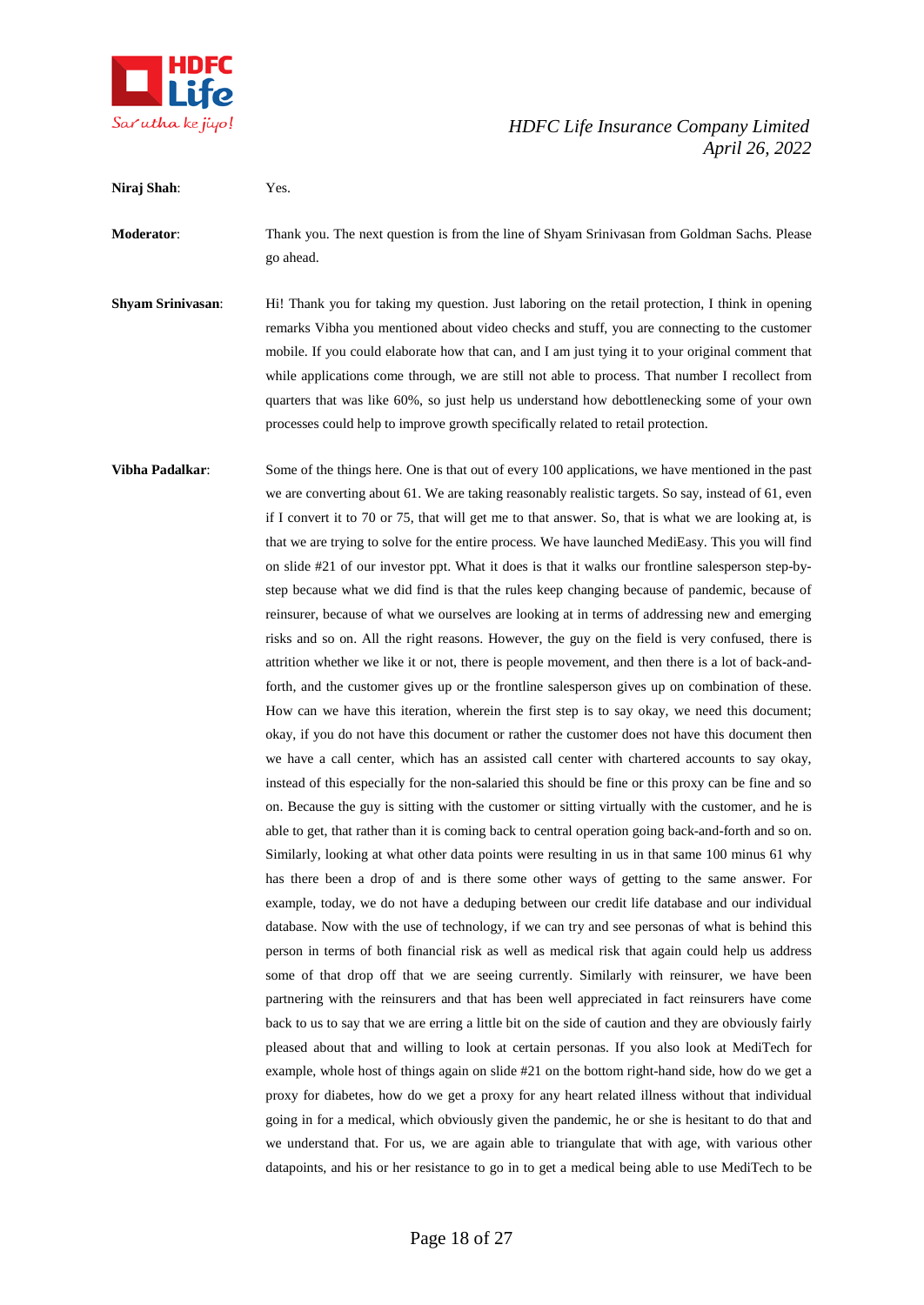

**Niraj Shah**: Yes.

# *HDFC Life Insurance Company Limited April 26, 2022*

go ahead. **Shyam Srinivasan**: Hi! Thank you for taking my question. Just laboring on the retail protection, I think in opening remarks Vibha you mentioned about video checks and stuff, you are connecting to the customer mobile. If you could elaborate how that can, and I am just tying it to your original comment that while applications come through, we are still not able to process. That number I recollect from quarters that was like 60%, so just help us understand how debottlenecking some of your own processes could help to improve growth specifically related to retail protection. **Vibha Padalkar:** Some of the things here. One is that out of every 100 applications, we have mentioned in the past we are converting about 61. We are taking reasonably realistic targets. So say, instead of 61, even if I convert it to 70 or 75, that will get me to that answer. So, that is what we are looking at, is that we are trying to solve for the entire process. We have launched MediEasy. This you will find on slide #21 of our investor ppt. What it does is that it walks our frontline salesperson step-bystep because what we did find is that the rules keep changing because of pandemic, because of reinsurer, because of what we ourselves are looking at in terms of addressing new and emerging risks and so on. All the right reasons. However, the guy on the field is very confused, there is attrition whether we like it or not, there is people movement, and then there is a lot of back-andforth, and the customer gives up or the frontline salesperson gives up on combination of these. How can we have this iteration, wherein the first step is to say okay, we need this document; okay, if you do not have this document or rather the customer does not have this document then we have a call center, which has an assisted call center with chartered accounts to say okay, instead of this especially for the non-salaried this should be fine or this proxy can be fine and so on. Because the guy is sitting with the customer or sitting virtually with the customer, and he is able to get, that rather than it is coming back to central operation going back-and-forth and so on. Similarly, looking at what other data points were resulting in us in that same 100 minus 61 why has there been a drop of and is there some other ways of getting to the same answer. For example, today, we do not have a deduping between our credit life database and our individual database. Now with the use of technology, if we can try and see personas of what is behind this person in terms of both financial risk as well as medical risk that again could help us address some of that drop off that we are seeing currently. Similarly with reinsurer, we have been partnering with the reinsurers and that has been well appreciated in fact reinsurers have come back to us to say that we are erring a little bit on the side of caution and they are obviously fairly pleased about that and willing to look at certain personas. If you also look at MediTech for example, whole host of things again on slide #21 on the bottom right-hand side, how do we get a proxy for diabetes, how do we get a proxy for any heart related illness without that individual going in for a medical, which obviously given the pandemic, he or she is hesitant to do that and we understand that. For us, we are again able to triangulate that with age, with various other datapoints, and his or her resistance to go in to get a medical being able to use MediTech to be

**Moderator**: Thank you. The next question is from the line of Shyam Srinivasan from Goldman Sachs. Please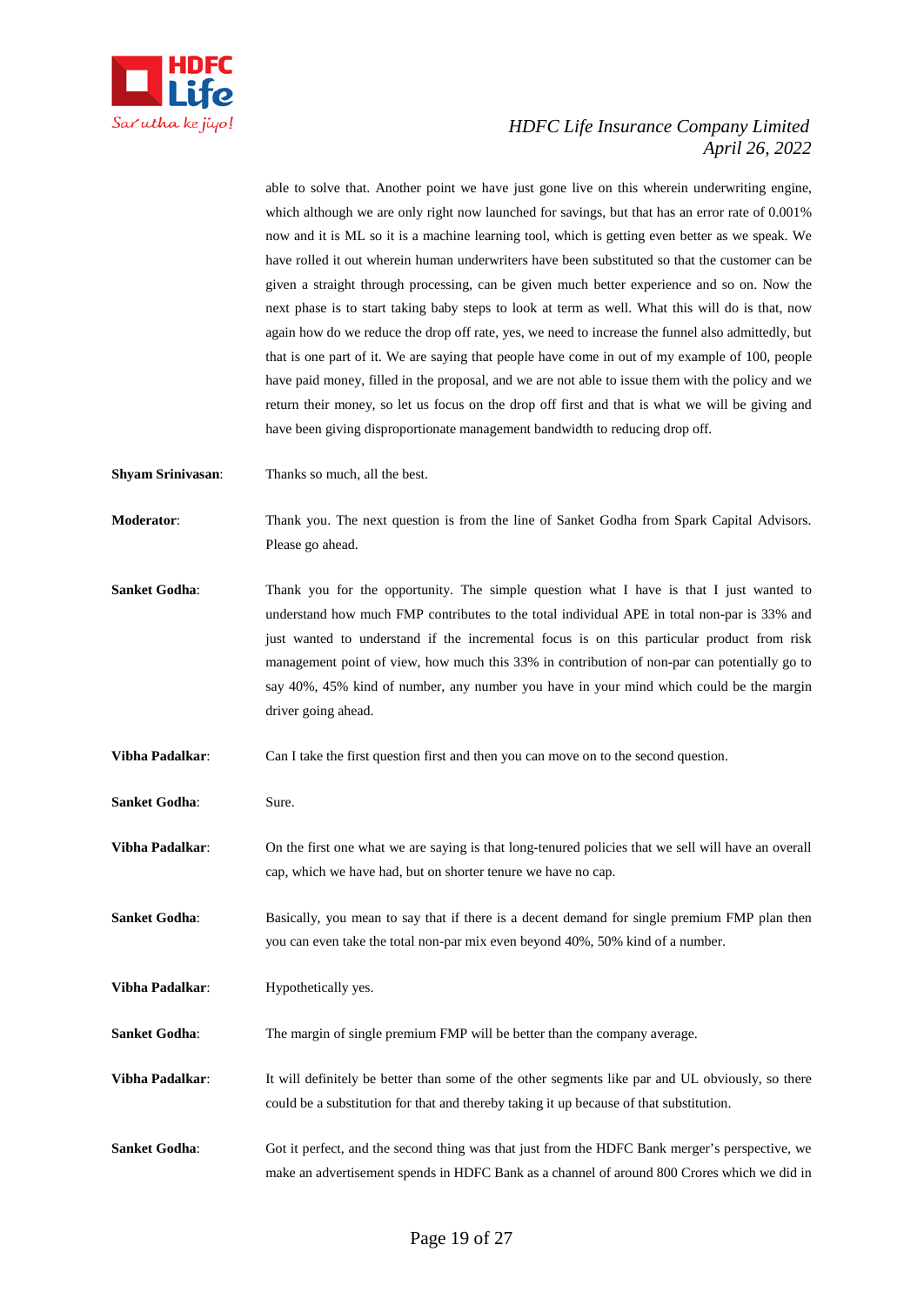

able to solve that. Another point we have just gone live on this wherein underwriting engine, which although we are only right now launched for savings, but that has an error rate of 0.001% now and it is ML so it is a machine learning tool, which is getting even better as we speak. We have rolled it out wherein human underwriters have been substituted so that the customer can be given a straight through processing, can be given much better experience and so on. Now the next phase is to start taking baby steps to look at term as well. What this will do is that, now again how do we reduce the drop off rate, yes, we need to increase the funnel also admittedly, but that is one part of it. We are saying that people have come in out of my example of 100, people have paid money, filled in the proposal, and we are not able to issue them with the policy and we return their money, so let us focus on the drop off first and that is what we will be giving and have been giving disproportionate management bandwidth to reducing drop off.

**Shyam Srinivasan**: Thanks so much, all the best.

**Moderator**: Thank you. The next question is from the line of Sanket Godha from Spark Capital Advisors. Please go ahead.

**Sanket Godha:** Thank you for the opportunity. The simple question what I have is that I just wanted to understand how much FMP contributes to the total individual APE in total non-par is 33% and just wanted to understand if the incremental focus is on this particular product from risk management point of view, how much this 33% in contribution of non-par can potentially go to say 40%, 45% kind of number, any number you have in your mind which could be the margin driver going ahead.

**Vibha Padalkar:** Can I take the first question first and then you can move on to the second question.

**Sanket Godha:** Sure.

**Vibha Padalkar**: On the first one what we are saying is that long-tenured policies that we sell will have an overall cap, which we have had, but on shorter tenure we have no cap.

**Sanket Godha:** Basically, you mean to say that if there is a decent demand for single premium FMP plan then you can even take the total non-par mix even beyond 40%, 50% kind of a number.

**Vibha Padalkar:** Hypothetically yes.

**Sanket Godha:** The margin of single premium FMP will be better than the company average.

**Vibha Padalkar:** It will definitely be better than some of the other segments like par and UL obviously, so there could be a substitution for that and thereby taking it up because of that substitution.

**Sanket Godha:** Got it perfect, and the second thing was that just from the HDFC Bank merger's perspective, we make an advertisement spends in HDFC Bank as a channel of around 800 Crores which we did in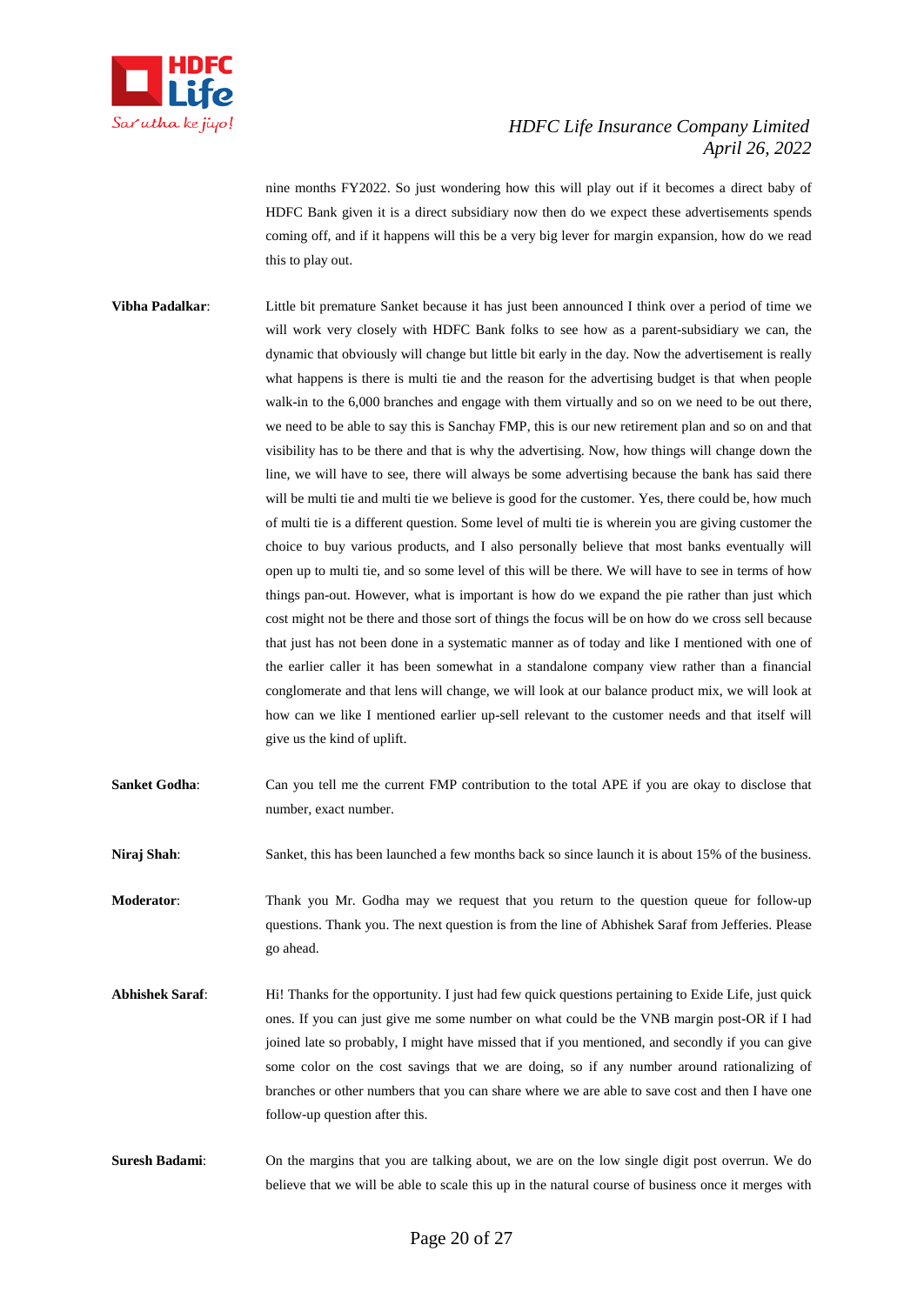

nine months FY2022. So just wondering how this will play out if it becomes a direct baby of HDFC Bank given it is a direct subsidiary now then do we expect these advertisements spends coming off, and if it happens will this be a very big lever for margin expansion, how do we read this to play out.

- **Vibha Padalkar**: Little bit premature Sanket because it has just been announced I think over a period of time we will work very closely with HDFC Bank folks to see how as a parent-subsidiary we can, the dynamic that obviously will change but little bit early in the day. Now the advertisement is really what happens is there is multi tie and the reason for the advertising budget is that when people walk-in to the 6,000 branches and engage with them virtually and so on we need to be out there, we need to be able to say this is Sanchay FMP, this is our new retirement plan and so on and that visibility has to be there and that is why the advertising. Now, how things will change down the line, we will have to see, there will always be some advertising because the bank has said there will be multi tie and multi tie we believe is good for the customer. Yes, there could be, how much of multi tie is a different question. Some level of multi tie is wherein you are giving customer the choice to buy various products, and I also personally believe that most banks eventually will open up to multi tie, and so some level of this will be there. We will have to see in terms of how things pan-out. However, what is important is how do we expand the pie rather than just which cost might not be there and those sort of things the focus will be on how do we cross sell because that just has not been done in a systematic manner as of today and like I mentioned with one of the earlier caller it has been somewhat in a standalone company view rather than a financial conglomerate and that lens will change, we will look at our balance product mix, we will look at how can we like I mentioned earlier up-sell relevant to the customer needs and that itself will give us the kind of uplift.
- **Sanket Godha:** Can you tell me the current FMP contribution to the total APE if you are okay to disclose that number, exact number.

**Niraj Shah:** Sanket, this has been launched a few months back so since launch it is about 15% of the business.

**Moderator**: Thank you Mr. Godha may we request that you return to the question queue for follow-up questions. Thank you. The next question is from the line of Abhishek Saraf from Jefferies. Please go ahead.

- **Abhishek Saraf**: Hi! Thanks for the opportunity. I just had few quick questions pertaining to Exide Life, just quick ones. If you can just give me some number on what could be the VNB margin post-OR if I had joined late so probably, I might have missed that if you mentioned, and secondly if you can give some color on the cost savings that we are doing, so if any number around rationalizing of branches or other numbers that you can share where we are able to save cost and then I have one follow-up question after this.
- **Suresh Badami**: On the margins that you are talking about, we are on the low single digit post overrun. We do believe that we will be able to scale this up in the natural course of business once it merges with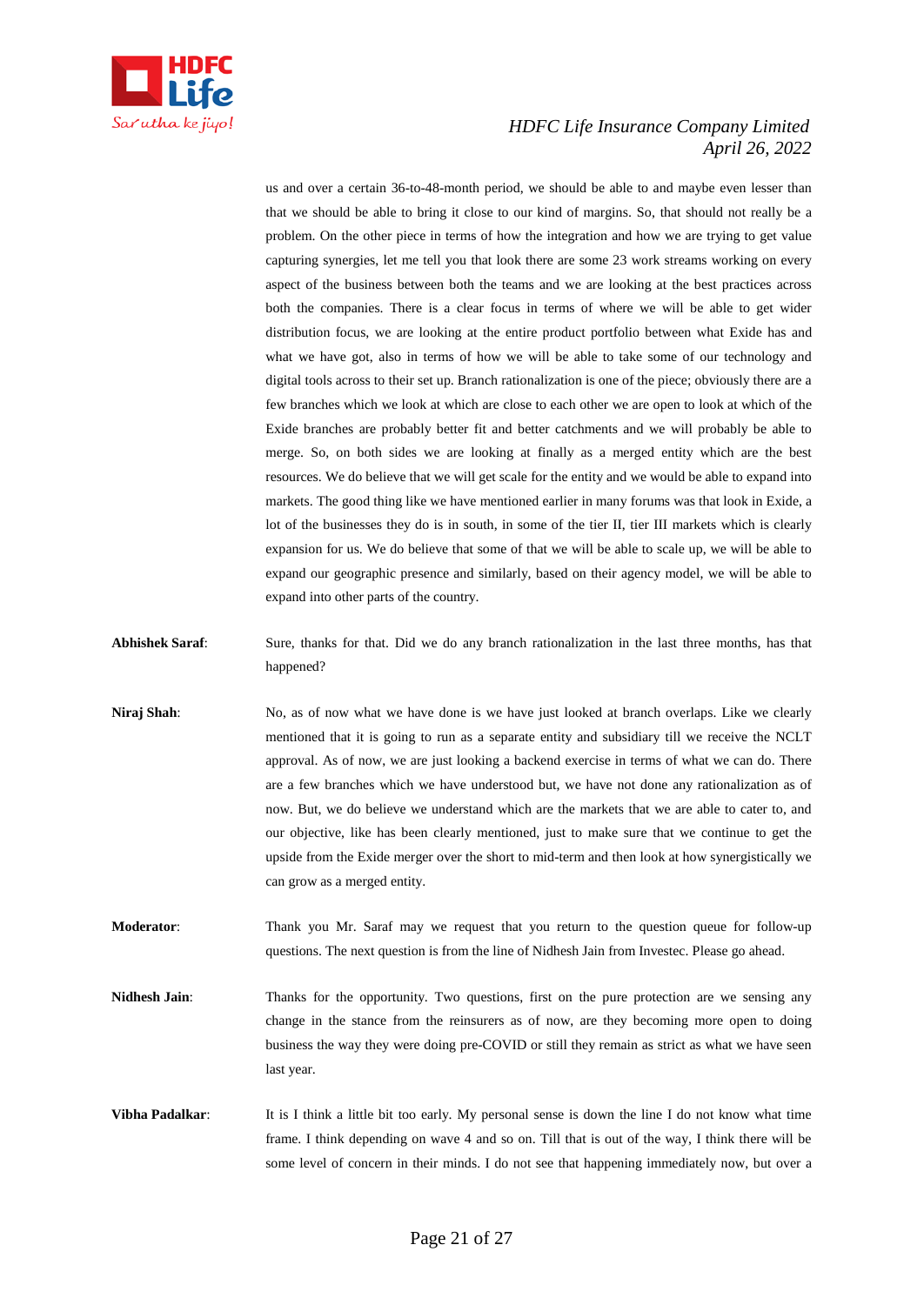

us and over a certain 36-to-48-month period, we should be able to and maybe even lesser than that we should be able to bring it close to our kind of margins. So, that should not really be a problem. On the other piece in terms of how the integration and how we are trying to get value capturing synergies, let me tell you that look there are some 23 work streams working on every aspect of the business between both the teams and we are looking at the best practices across both the companies. There is a clear focus in terms of where we will be able to get wider distribution focus, we are looking at the entire product portfolio between what Exide has and what we have got, also in terms of how we will be able to take some of our technology and digital tools across to their set up. Branch rationalization is one of the piece; obviously there are a few branches which we look at which are close to each other we are open to look at which of the Exide branches are probably better fit and better catchments and we will probably be able to merge. So, on both sides we are looking at finally as a merged entity which are the best resources. We do believe that we will get scale for the entity and we would be able to expand into markets. The good thing like we have mentioned earlier in many forums was that look in Exide, a lot of the businesses they do is in south, in some of the tier II, tier III markets which is clearly expansion for us. We do believe that some of that we will be able to scale up, we will be able to expand our geographic presence and similarly, based on their agency model, we will be able to expand into other parts of the country.

- **Abhishek Saraf**: Sure, thanks for that. Did we do any branch rationalization in the last three months, has that happened?
- **Niraj Shah:** No, as of now what we have done is we have just looked at branch overlaps. Like we clearly mentioned that it is going to run as a separate entity and subsidiary till we receive the NCLT approval. As of now, we are just looking a backend exercise in terms of what we can do. There are a few branches which we have understood but, we have not done any rationalization as of now. But, we do believe we understand which are the markets that we are able to cater to, and our objective, like has been clearly mentioned, just to make sure that we continue to get the upside from the Exide merger over the short to mid-term and then look at how synergistically we can grow as a merged entity.
- **Moderator**: Thank you Mr. Saraf may we request that you return to the question queue for follow-up questions. The next question is from the line of Nidhesh Jain from Investec. Please go ahead.
- Nidhesh Jain: Thanks for the opportunity. Two questions, first on the pure protection are we sensing any change in the stance from the reinsurers as of now, are they becoming more open to doing business the way they were doing pre-COVID or still they remain as strict as what we have seen last year.
- **Vibha Padalkar:** It is I think a little bit too early. My personal sense is down the line I do not know what time frame. I think depending on wave 4 and so on. Till that is out of the way, I think there will be some level of concern in their minds. I do not see that happening immediately now, but over a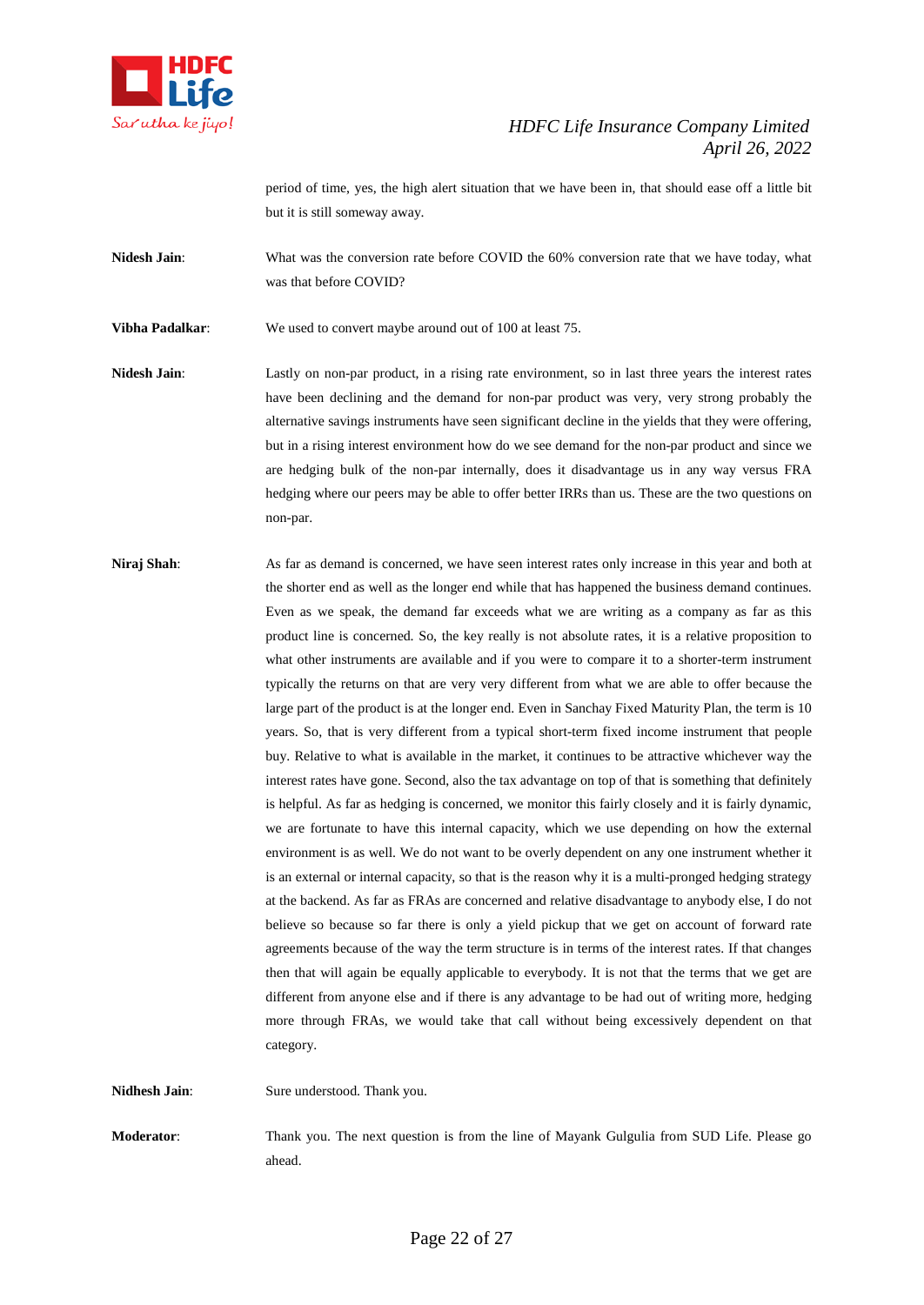

period of time, yes, the high alert situation that we have been in, that should ease off a little bit but it is still someway away.

Nidesh Jain: What was the conversion rate before COVID the 60% conversion rate that we have today, what was that before COVID?

**Vibha Padalkar**: We used to convert maybe around out of 100 at least 75.

**Nidesh Jain**: Lastly on non-par product, in a rising rate environment, so in last three years the interest rates have been declining and the demand for non-par product was very, very strong probably the alternative savings instruments have seen significant decline in the yields that they were offering, but in a rising interest environment how do we see demand for the non-par product and since we are hedging bulk of the non-par internally, does it disadvantage us in any way versus FRA hedging where our peers may be able to offer better IRRs than us. These are the two questions on non-par.

**Niraj Shah:** As far as demand is concerned, we have seen interest rates only increase in this year and both at the shorter end as well as the longer end while that has happened the business demand continues. Even as we speak, the demand far exceeds what we are writing as a company as far as this product line is concerned. So, the key really is not absolute rates, it is a relative proposition to what other instruments are available and if you were to compare it to a shorter-term instrument typically the returns on that are very very different from what we are able to offer because the large part of the product is at the longer end. Even in Sanchay Fixed Maturity Plan, the term is 10 years. So, that is very different from a typical short-term fixed income instrument that people buy. Relative to what is available in the market, it continues to be attractive whichever way the interest rates have gone. Second, also the tax advantage on top of that is something that definitely is helpful. As far as hedging is concerned, we monitor this fairly closely and it is fairly dynamic, we are fortunate to have this internal capacity, which we use depending on how the external environment is as well. We do not want to be overly dependent on any one instrument whether it is an external or internal capacity, so that is the reason why it is a multi-pronged hedging strategy at the backend. As far as FRAs are concerned and relative disadvantage to anybody else, I do not believe so because so far there is only a yield pickup that we get on account of forward rate agreements because of the way the term structure is in terms of the interest rates. If that changes then that will again be equally applicable to everybody. It is not that the terms that we get are different from anyone else and if there is any advantage to be had out of writing more, hedging more through FRAs, we would take that call without being excessively dependent on that category.

**Nidhesh Jain**: Sure understood. Thank you.

**Moderator**: Thank you. The next question is from the line of Mayank Gulgulia from SUD Life. Please go ahead.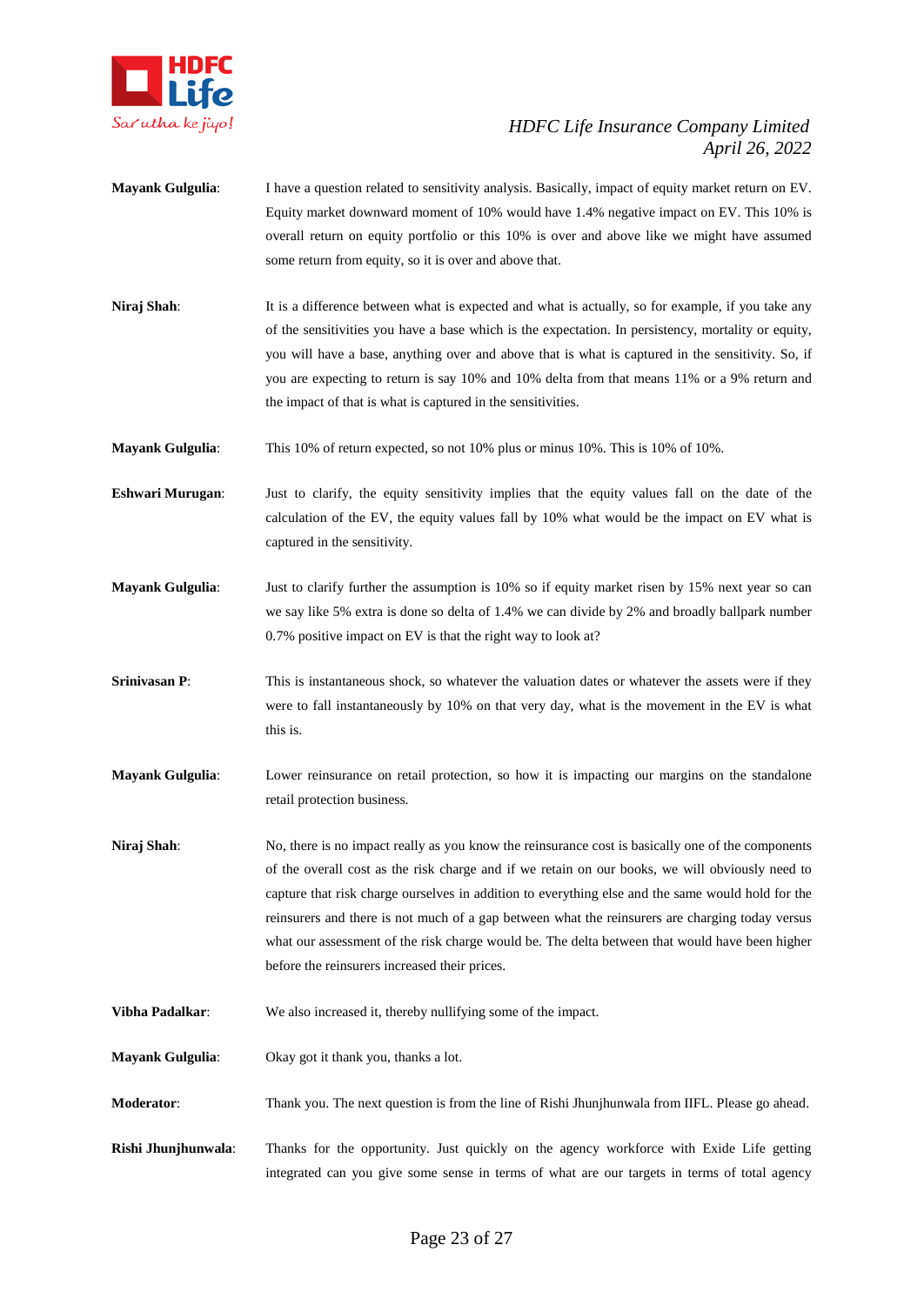

- **Mayank Gulgulia**: I have a question related to sensitivity analysis. Basically, impact of equity market return on EV. Equity market downward moment of 10% would have 1.4% negative impact on EV. This 10% is overall return on equity portfolio or this 10% is over and above like we might have assumed some return from equity, so it is over and above that.
- **Niraj Shah**: It is a difference between what is expected and what is actually, so for example, if you take any of the sensitivities you have a base which is the expectation. In persistency, mortality or equity, you will have a base, anything over and above that is what is captured in the sensitivity. So, if you are expecting to return is say 10% and 10% delta from that means 11% or a 9% return and the impact of that is what is captured in the sensitivities.
- **Mayank Gulgulia**: This 10% of return expected, so not 10% plus or minus 10%. This is 10% of 10%.
- **Eshwari Murugan**: Just to clarify, the equity sensitivity implies that the equity values fall on the date of the calculation of the EV, the equity values fall by 10% what would be the impact on EV what is captured in the sensitivity.
- **Mayank Gulgulia**: Just to clarify further the assumption is 10% so if equity market risen by 15% next year so can we say like 5% extra is done so delta of 1.4% we can divide by 2% and broadly ballpark number 0.7% positive impact on EV is that the right way to look at?
- **Srinivasan P:** This is instantaneous shock, so whatever the valuation dates or whatever the assets were if they were to fall instantaneously by 10% on that very day, what is the movement in the EV is what this is.
- **Mayank Gulgulia**: Lower reinsurance on retail protection, so how it is impacting our margins on the standalone retail protection business.
- **Niraj Shah**: No, there is no impact really as you know the reinsurance cost is basically one of the components of the overall cost as the risk charge and if we retain on our books, we will obviously need to capture that risk charge ourselves in addition to everything else and the same would hold for the reinsurers and there is not much of a gap between what the reinsurers are charging today versus what our assessment of the risk charge would be. The delta between that would have been higher before the reinsurers increased their prices.
- **Vibha Padalkar**: We also increased it, thereby nullifying some of the impact.
- **Mayank Gulgulia**: Okay got it thank you, thanks a lot.
- **Moderator**: Thank you. The next question is from the line of Rishi Jhunjhunwala from IIFL. Please go ahead.
- **Rishi Jhunjhunwala**: Thanks for the opportunity. Just quickly on the agency workforce with Exide Life getting integrated can you give some sense in terms of what are our targets in terms of total agency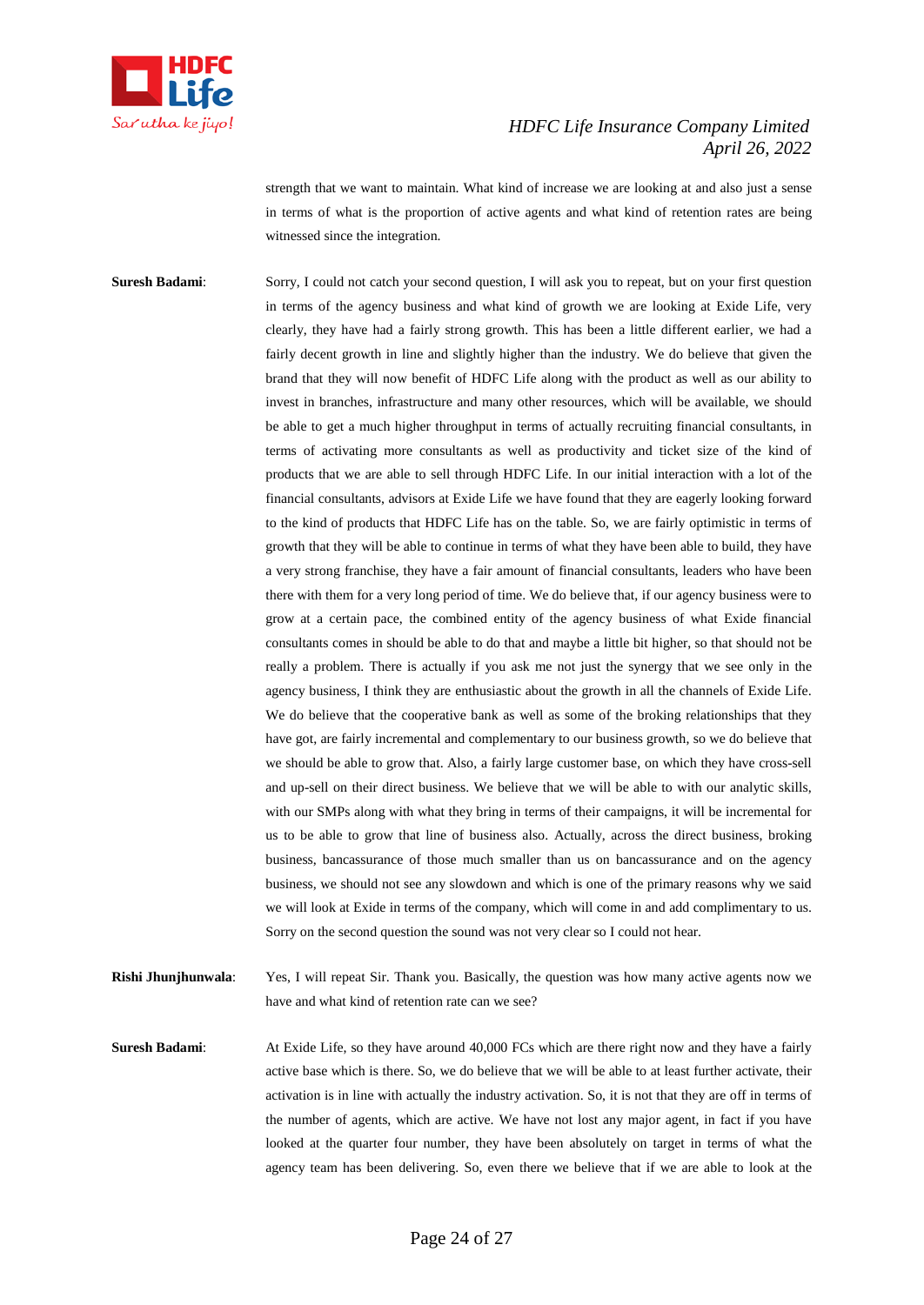

strength that we want to maintain. What kind of increase we are looking at and also just a sense in terms of what is the proportion of active agents and what kind of retention rates are being witnessed since the integration.

**Suresh Badami:** Sorry, I could not catch your second question, I will ask you to repeat, but on your first question in terms of the agency business and what kind of growth we are looking at Exide Life, very clearly, they have had a fairly strong growth. This has been a little different earlier, we had a fairly decent growth in line and slightly higher than the industry. We do believe that given the brand that they will now benefit of HDFC Life along with the product as well as our ability to invest in branches, infrastructure and many other resources, which will be available, we should be able to get a much higher throughput in terms of actually recruiting financial consultants, in terms of activating more consultants as well as productivity and ticket size of the kind of products that we are able to sell through HDFC Life. In our initial interaction with a lot of the financial consultants, advisors at Exide Life we have found that they are eagerly looking forward to the kind of products that HDFC Life has on the table. So, we are fairly optimistic in terms of growth that they will be able to continue in terms of what they have been able to build, they have a very strong franchise, they have a fair amount of financial consultants, leaders who have been there with them for a very long period of time. We do believe that, if our agency business were to grow at a certain pace, the combined entity of the agency business of what Exide financial consultants comes in should be able to do that and maybe a little bit higher, so that should not be really a problem. There is actually if you ask me not just the synergy that we see only in the agency business, I think they are enthusiastic about the growth in all the channels of Exide Life. We do believe that the cooperative bank as well as some of the broking relationships that they have got, are fairly incremental and complementary to our business growth, so we do believe that we should be able to grow that. Also, a fairly large customer base, on which they have cross-sell and up-sell on their direct business. We believe that we will be able to with our analytic skills, with our SMPs along with what they bring in terms of their campaigns, it will be incremental for us to be able to grow that line of business also. Actually, across the direct business, broking business, bancassurance of those much smaller than us on bancassurance and on the agency business, we should not see any slowdown and which is one of the primary reasons why we said we will look at Exide in terms of the company, which will come in and add complimentary to us. Sorry on the second question the sound was not very clear so I could not hear.

**Rishi Jhunjhunwala**: Yes, I will repeat Sir. Thank you. Basically, the question was how many active agents now we have and what kind of retention rate can we see?

**Suresh Badami:** At Exide Life, so they have around 40,000 FCs which are there right now and they have a fairly active base which is there. So, we do believe that we will be able to at least further activate, their activation is in line with actually the industry activation. So, it is not that they are off in terms of the number of agents, which are active. We have not lost any major agent, in fact if you have looked at the quarter four number, they have been absolutely on target in terms of what the agency team has been delivering. So, even there we believe that if we are able to look at the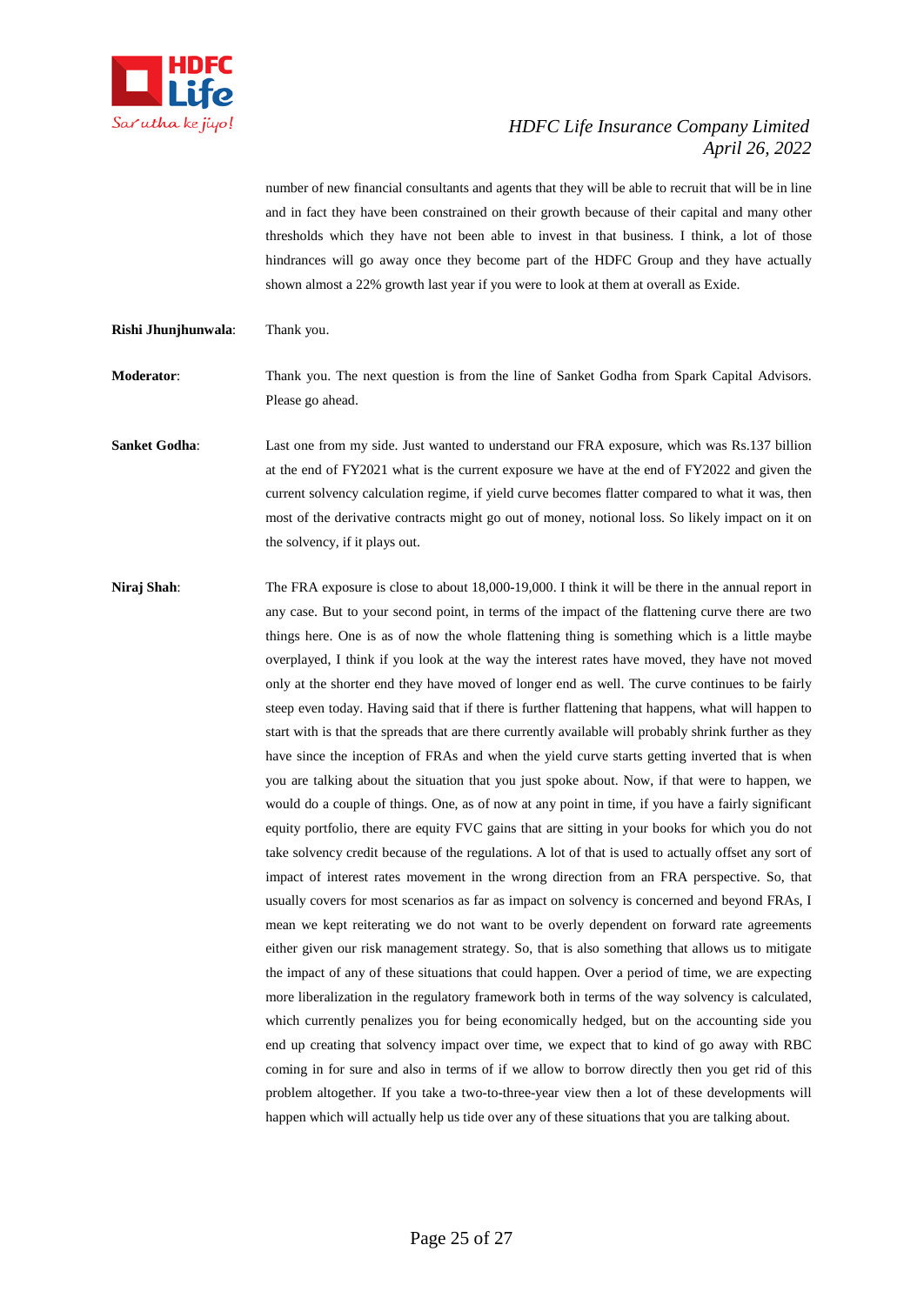

number of new financial consultants and agents that they will be able to recruit that will be in line and in fact they have been constrained on their growth because of their capital and many other thresholds which they have not been able to invest in that business. I think, a lot of those hindrances will go away once they become part of the HDFC Group and they have actually shown almost a 22% growth last year if you were to look at them at overall as Exide.

**Rishi Jhunjhunwala**: Thank you.

**Moderator**: Thank you. The next question is from the line of Sanket Godha from Spark Capital Advisors. Please go ahead.

**Sanket Godha:** Last one from my side. Just wanted to understand our FRA exposure, which was Rs.137 billion at the end of FY2021 what is the current exposure we have at the end of FY2022 and given the current solvency calculation regime, if yield curve becomes flatter compared to what it was, then most of the derivative contracts might go out of money, notional loss. So likely impact on it on the solvency, if it plays out.

**Niraj Shah**: The FRA exposure is close to about 18,000-19,000. I think it will be there in the annual report in any case. But to your second point, in terms of the impact of the flattening curve there are two things here. One is as of now the whole flattening thing is something which is a little maybe overplayed, I think if you look at the way the interest rates have moved, they have not moved only at the shorter end they have moved of longer end as well. The curve continues to be fairly steep even today. Having said that if there is further flattening that happens, what will happen to start with is that the spreads that are there currently available will probably shrink further as they have since the inception of FRAs and when the yield curve starts getting inverted that is when you are talking about the situation that you just spoke about. Now, if that were to happen, we would do a couple of things. One, as of now at any point in time, if you have a fairly significant equity portfolio, there are equity FVC gains that are sitting in your books for which you do not take solvency credit because of the regulations. A lot of that is used to actually offset any sort of impact of interest rates movement in the wrong direction from an FRA perspective. So, that usually covers for most scenarios as far as impact on solvency is concerned and beyond FRAs, I mean we kept reiterating we do not want to be overly dependent on forward rate agreements either given our risk management strategy. So, that is also something that allows us to mitigate the impact of any of these situations that could happen. Over a period of time, we are expecting more liberalization in the regulatory framework both in terms of the way solvency is calculated, which currently penalizes you for being economically hedged, but on the accounting side you end up creating that solvency impact over time, we expect that to kind of go away with RBC coming in for sure and also in terms of if we allow to borrow directly then you get rid of this problem altogether. If you take a two-to-three-year view then a lot of these developments will happen which will actually help us tide over any of these situations that you are talking about.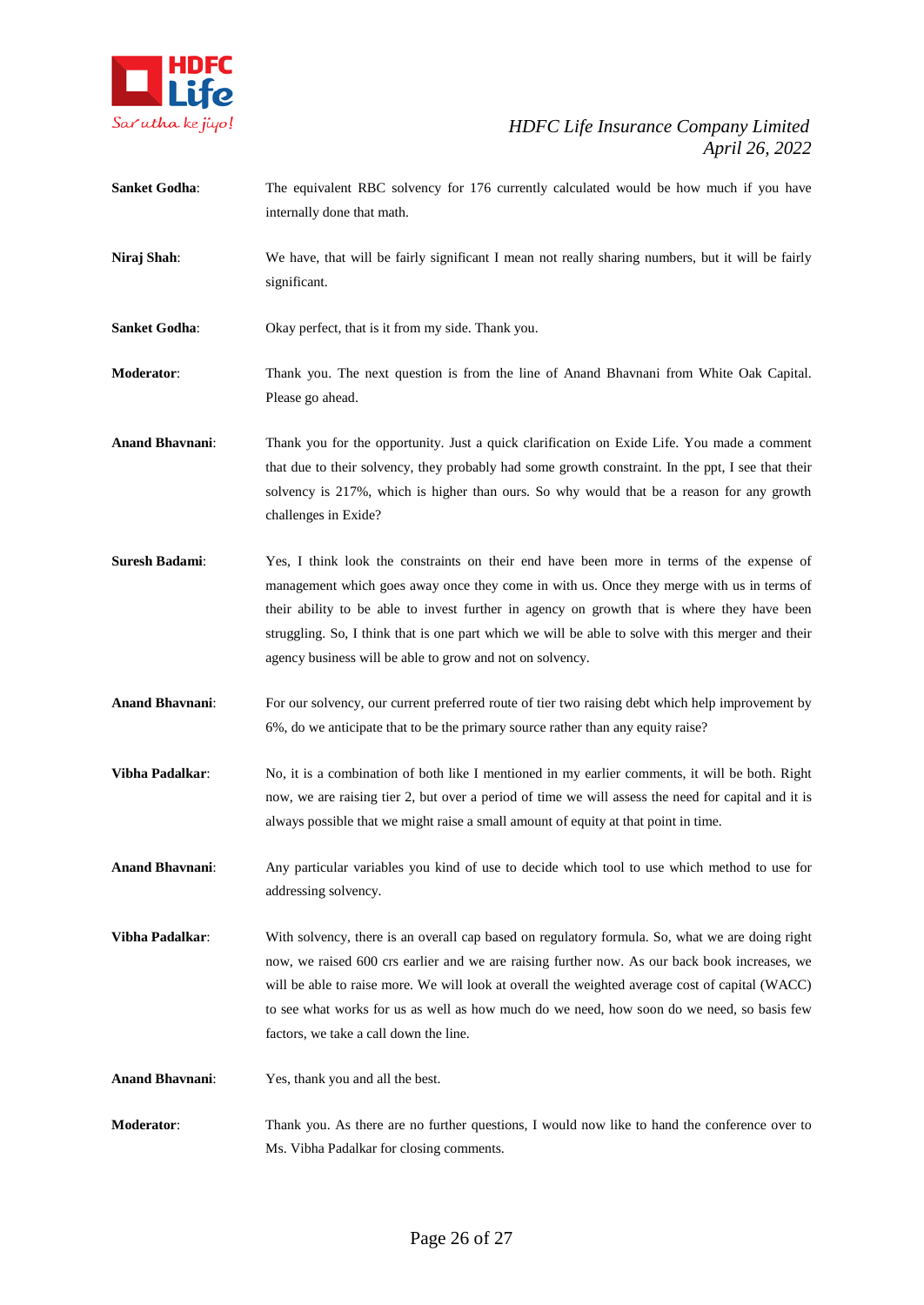

- **Sanket Godha:** The equivalent RBC solvency for 176 currently calculated would be how much if you have internally done that math.
- **Niraj Shah**: We have, that will be fairly significant I mean not really sharing numbers, but it will be fairly significant.
- Sanket Godha: Okay perfect, that is it from my side. Thank you.

**Moderator**: Thank you. The next question is from the line of Anand Bhavnani from White Oak Capital. Please go ahead.

**Anand Bhavnani**: Thank you for the opportunity. Just a quick clarification on Exide Life. You made a comment that due to their solvency, they probably had some growth constraint. In the ppt, I see that their solvency is 217%, which is higher than ours. So why would that be a reason for any growth challenges in Exide?

- **Suresh Badami**: Yes, I think look the constraints on their end have been more in terms of the expense of management which goes away once they come in with us. Once they merge with us in terms of their ability to be able to invest further in agency on growth that is where they have been struggling. So, I think that is one part which we will be able to solve with this merger and their agency business will be able to grow and not on solvency.
- **Anand Bhavnani**: For our solvency, our current preferred route of tier two raising debt which help improvement by 6%, do we anticipate that to be the primary source rather than any equity raise?
- **Vibha Padalkar**: No, it is a combination of both like I mentioned in my earlier comments, it will be both. Right now, we are raising tier 2, but over a period of time we will assess the need for capital and it is always possible that we might raise a small amount of equity at that point in time.
- **Anand Bhavnani**: Any particular variables you kind of use to decide which tool to use which method to use for addressing solvency.
- **Vibha Padalkar**: With solvency, there is an overall cap based on regulatory formula. So, what we are doing right now, we raised 600 crs earlier and we are raising further now. As our back book increases, we will be able to raise more. We will look at overall the weighted average cost of capital (WACC) to see what works for us as well as how much do we need, how soon do we need, so basis few factors, we take a call down the line.
- **Anand Bhavnani**: Yes, thank you and all the best.
- **Moderator**: Thank you. As there are no further questions, I would now like to hand the conference over to Ms. Vibha Padalkar for closing comments.